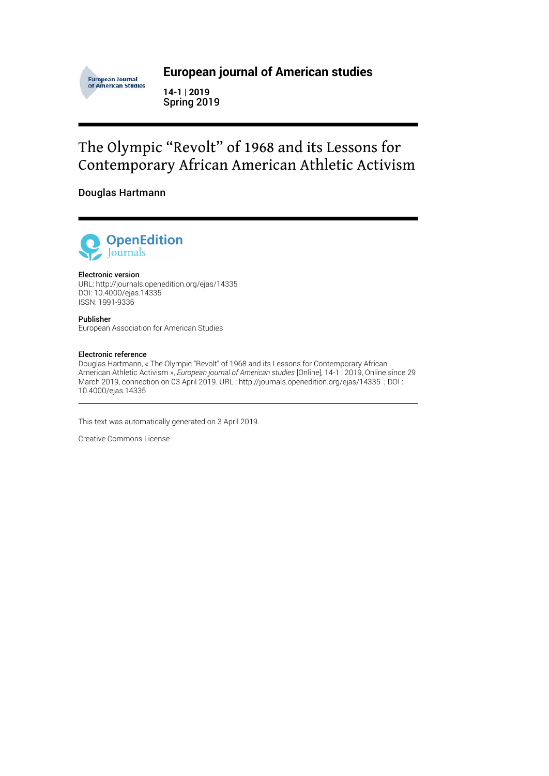

### **European journal of American studies**

**14-1 | 2019** Spring 2019

# The Olympic "Revolt" of 1968 and its Lessons for Contemporary African American Athletic Activism

### Douglas Hartmann



#### Electronic version

URL:<http://journals.openedition.org/ejas/14335> DOI: 10.4000/ejas.14335 ISSN: 1991-9336

Publisher European Association for American Studies

#### Electronic reference

Douglas Hartmann, « The Olympic "Revolt" of 1968 and its Lessons for Contemporary African American Athletic Activism », *European journal of American studies* [Online], 14-1 | 2019, Online since 29 March 2019, connection on 03 April 2019. URL : http://journals.openedition.org/ejas/14335 ; DOI : 10.4000/ejas.14335

This text was automatically generated on 3 April 2019.

Creative Commons License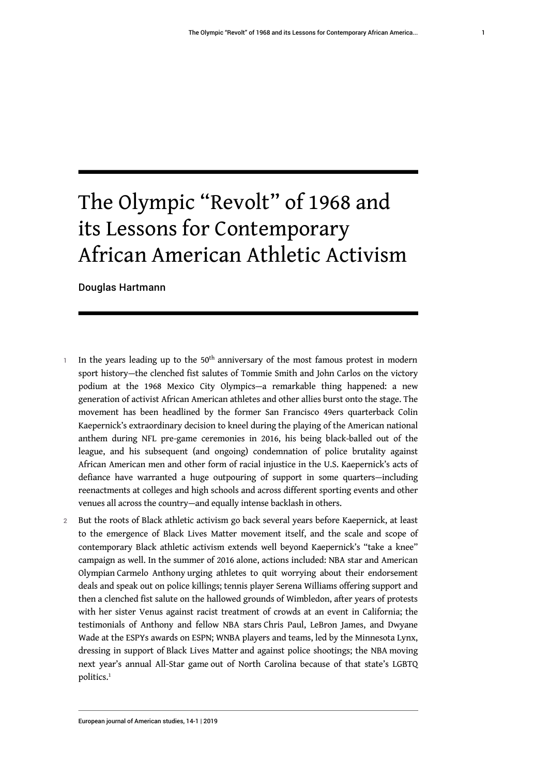# The Olympic "Revolt" of 1968 and its Lessons for Contemporary African American Athletic Activism

Douglas Hartmann

- In the years leading up to the 50<sup>th</sup> anniversary of the most famous protest in modern sport history—the clenched fist salutes of Tommie Smith and John Carlos on the victory podium at the 1968 Mexico City Olympics—a remarkable thing happened: a new generation of activist African American athletes and other allies burst onto the stage. The movement has been headlined by the former San Francisco 49ers quarterback Colin Kaepernick's extraordinary decision to kneel during the playing of the American national anthem during NFL pre-game ceremonies in 2016, his being black-balled out of the league, and his subsequent (and ongoing) condemnation of police brutality against African American men and other form of racial injustice in the U.S. Kaepernick's acts of defiance have warranted a huge outpouring of support in some quarters—including reenactments at colleges and high schools and across different sporting events and other venues all across the country—and equally intense backlash in others.
- <span id="page-1-0"></span>2 But the roots of Black athletic activism go back several years before Kaepernick, at least to the emergence of Black Lives Matter movement itself, and the scale and scope of contemporary Black athletic activism extends well beyond Kaepernick's "take a knee" campaign as well. In the summer of 2016 alone, actions included: NBA star and American Olympian Carmelo Anthony urging athletes to quit worrying about their endorsement deals and speak out on police killings; tennis player Serena Williams offering support and then a clenched fist salute on the hallowed grounds of Wimbledon, after years of protests with her sister Venus against racist treatment of crowds at an event in California; the testimonials of Anthony and fellow NBA stars Chris Paul, LeBron James, and Dwyane Wade at the ESPYs awards on ESPN; WNBA players and teams, led by the Minnesota Lynx, dressing in support of Black Lives Matter and against police shootings; the NBA moving next year's annual All-Star game out of North Carolina because of that state's LGBTQ politics.<sup>[1](#page-19-0)</sup>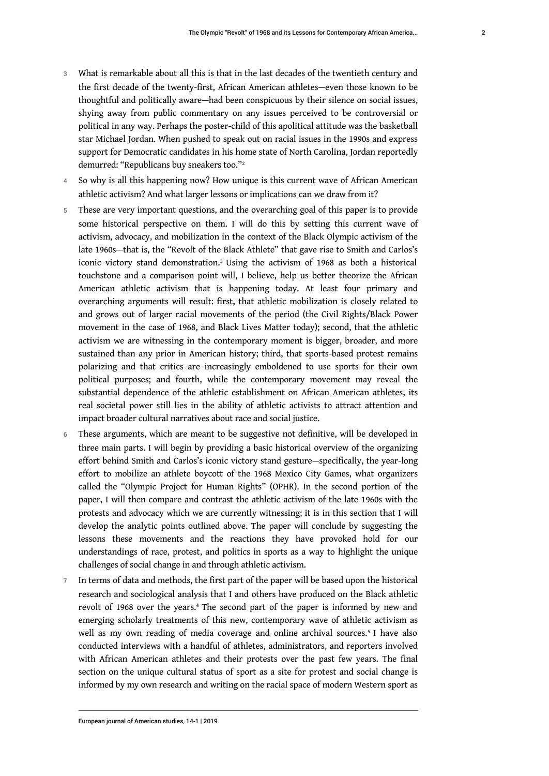- 3 What is remarkable about all this is that in the last decades of the twentieth century and the first decade of the twenty-first, African American athletes—even those known to be thoughtful and politically aware—had been conspicuous by their silence on social issues, shying away from public commentary on any issues perceived to be controversial or political in any way. Perhaps the poster-child of this apolitical attitude was the basketball star Michael Jordan. When pushed to speak out on racial issues in the 1990s and express support for Democratic candidates in his home state of North Carolina, Jordan reportedly demurred: "Republicans buy sneakers too."[2](#page-19-1)
- <span id="page-2-0"></span>4 So why is all this happening now? How unique is this current wave of African American athletic activism? And what larger lessons or implications can we draw from it?
- <span id="page-2-1"></span>5 These are very important questions, and the overarching goal of this paper is to provide some historical perspective on them. I will do this by setting this current wave of activism, advocacy, and mobilization in the context of the Black Olympic activism of the late 1960s—that is, the "Revolt of the Black Athlete" that gave rise to Smith and Carlos's iconic victory stand demonstration.[3](#page-19-2) Using the activism of 1968 as both a historical touchstone and a comparison point will, I believe, help us better theorize the African American athletic activism that is happening today. At least four primary and overarching arguments will result: first, that athletic mobilization is closely related to and grows out of larger racial movements of the period (the Civil Rights/Black Power movement in the case of 1968, and Black Lives Matter today); second, that the athletic activism we are witnessing in the contemporary moment is bigger, broader, and more sustained than any prior in American history; third, that sports-based protest remains polarizing and that critics are increasingly emboldened to use sports for their own political purposes; and fourth, while the contemporary movement may reveal the substantial dependence of the athletic establishment on African American athletes, its real societal power still lies in the ability of athletic activists to attract attention and impact broader cultural narratives about race and social justice.
- 6 These arguments, which are meant to be suggestive not definitive, will be developed in three main parts. I will begin by providing a basic historical overview of the organizing effort behind Smith and Carlos's iconic victory stand gesture—specifically, the year-long effort to mobilize an athlete boycott of the 1968 Mexico City Games, what organizers called the "Olympic Project for Human Rights" (OPHR). In the second portion of the paper, I will then compare and contrast the athletic activism of the late 1960s with the protests and advocacy which we are currently witnessing; it is in this section that I will develop the analytic points outlined above. The paper will conclude by suggesting the lessons these movements and the reactions they have provoked hold for our understandings of race, protest, and politics in sports as a way to highlight the unique challenges of social change in and through athletic activism.
- <span id="page-2-3"></span><span id="page-2-2"></span>7 In terms of data and methods, the first part of the paper will be based upon the historical research and sociological analysis that I and others have produced on the Black athletic revolt of 1968 over the years.[4](#page-19-3) The second part of the paper is informed by new and emerging scholarly treatments of this new, contemporary wave of athletic activism as well as my own reading of media coverage and online archival sources.[5](#page-20-0) I have also conducted interviews with a handful of athletes, administrators, and reporters involved with African American athletes and their protests over the past few years. The final section on the unique cultural status of sport as a site for protest and social change is informed by my own research and writing on the racial space of modern Western sport as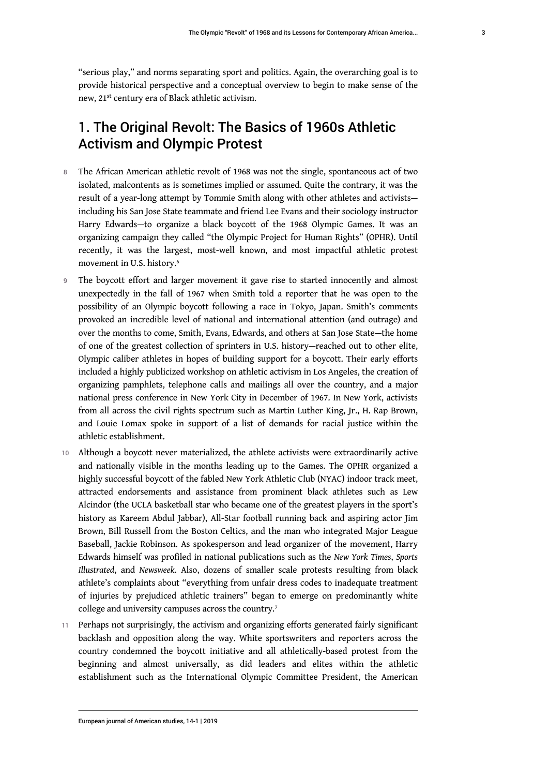"serious play," and norms separating sport and politics. Again, the overarching goal is to provide historical perspective and a conceptual overview to begin to make sense of the new, 21st century era of Black athletic activism.

# 1. The Original Revolt: The Basics of 1960s Athletic Activism and Olympic Protest

- 8 The African American athletic revolt of 1968 was not the single, spontaneous act of two isolated, malcontents as is sometimes implied or assumed. Quite the contrary, it was the result of a year-long attempt by Tommie Smith along with other athletes and activists including his San Jose State teammate and friend Lee Evans and their sociology instructor Harry Edwards—to organize a black boycott of the 1968 Olympic Games. It was an organizing campaign they called "the Olympic Project for Human Rights" (OPHR). Until recently, it was the largest, most-well known, and most impactful athletic protest movement in U.S. history.[6](#page-20-1)
- <span id="page-3-0"></span>9 The boycott effort and larger movement it gave rise to started innocently and almost unexpectedly in the fall of 1967 when Smith told a reporter that he was open to the possibility of an Olympic boycott following a race in Tokyo, Japan. Smith's comments provoked an incredible level of national and international attention (and outrage) and over the months to come, Smith, Evans, Edwards, and others at San Jose State—the home of one of the greatest collection of sprinters in U.S. history—reached out to other elite, Olympic caliber athletes in hopes of building support for a boycott. Their early efforts included a highly publicized workshop on athletic activism in Los Angeles, the creation of organizing pamphlets, telephone calls and mailings all over the country, and a major national press conference in New York City in December of 1967. In New York, activists from all across the civil rights spectrum such as Martin Luther King, Jr., H. Rap Brown, and Louie Lomax spoke in support of a list of demands for racial justice within the athletic establishment.
- 10 Although a boycott never materialized, the athlete activists were extraordinarily active and nationally visible in the months leading up to the Games. The OPHR organized a highly successful boycott of the fabled New York Athletic Club (NYAC) indoor track meet, attracted endorsements and assistance from prominent black athletes such as Lew Alcindor (the UCLA basketball star who became one of the greatest players in the sport's history as Kareem Abdul Jabbar), All-Star football running back and aspiring actor Jim Brown, Bill Russell from the Boston Celtics, and the man who integrated Major League Baseball, Jackie Robinson. As spokesperson and lead organizer of the movement, Harry Edwards himself was profiled in national publications such as the *New York Times*, *Sports Illustrated*, and *Newsweek*. Also, dozens of smaller scale protests resulting from black athlete's complaints about "everything from unfair dress codes to inadequate treatment of injuries by prejudiced athletic trainers" began to emerge on predominantly white college and university campuses across the country.[7](#page-21-0)
- <span id="page-3-1"></span>11 Perhaps not surprisingly, the activism and organizing efforts generated fairly significant backlash and opposition along the way. White sportswriters and reporters across the country condemned the boycott initiative and all athletically-based protest from the beginning and almost universally, as did leaders and elites within the athletic establishment such as the International Olympic Committee President, the American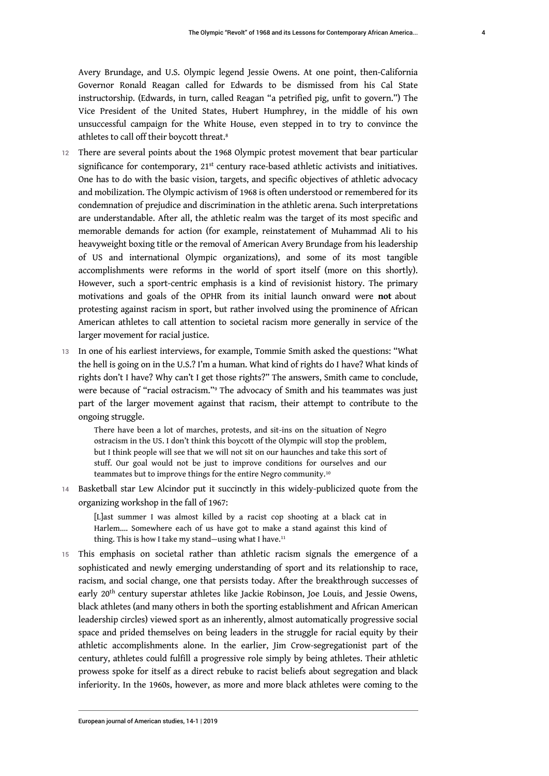Avery Brundage, and U.S. Olympic legend Jessie Owens. At one point, then-California Governor Ronald Reagan called for Edwards to be dismissed from his Cal State instructorship. (Edwards, in turn, called Reagan "a petrified pig, unfit to govern.") The Vice President of the United States, Hubert Humphrey, in the middle of his own

<span id="page-4-0"></span>unsuccessful campaign for the White House, even stepped in to try to convince the athletes to call off their boycott threat.[8](#page-21-1)

- 12 There are several points about the 1968 Olympic protest movement that bear particular significance for contemporary, 21<sup>st</sup> century race-based athletic activists and initiatives. One has to do with the basic vision, targets, and specific objectives of athletic advocacy and mobilization. The Olympic activism of 1968 is often understood or remembered for its condemnation of prejudice and discrimination in the athletic arena. Such interpretations are understandable. After all, the athletic realm was the target of its most specific and memorable demands for action (for example, reinstatement of Muhammad Ali to his heavyweight boxing title or the removal of American Avery Brundage from his leadership of US and international Olympic organizations), and some of its most tangible accomplishments were reforms in the world of sport itself (more on this shortly). However, such a sport-centric emphasis is a kind of revisionist history. The primary motivations and goals of the OPHR from its initial launch onward were **not** about protesting against racism in sport, but rather involved using the prominence of African American athletes to call attention to societal racism more generally in service of the larger movement for racial justice.
- 13 In one of his earliest interviews, for example, Tommie Smith asked the questions: "What the hell is going on in the U.S.? I'm a human. What kind of rights do I have? What kinds of rights don't I have? Why can't I get those rights?" The answers, Smith came to conclude, were because of "racial ostracism."[9](#page-21-2) The advocacy of Smith and his teammates was just part of the larger movement against that racism, their attempt to contribute to the ongoing struggle.

<span id="page-4-2"></span><span id="page-4-1"></span>There have been a lot of marches, protests, and sit-ins on the situation of Negro ostracism in the US. I don't think this boycott of the Olympic will stop the problem, but I think people will see that we will not sit on our haunches and take this sort of stuff. Our goal would not be just to improve conditions for ourselves and our teammates but to improve things for the entire Negro community.[10](#page-21-3)

14 Basketball star Lew Alcindor put it succinctly in this widely-publicized quote from the organizing workshop in the fall of 1967:

<span id="page-4-3"></span>[L]ast summer I was almost killed by a racist cop shooting at a black cat in Harlem…. Somewhere each of us have got to make a stand against this kind of thing. This is how I take my stand-using what I have.<sup>[11](#page-21-4)</sup>

15 This emphasis on societal rather than athletic racism signals the emergence of a sophisticated and newly emerging understanding of sport and its relationship to race, racism, and social change, one that persists today. After the breakthrough successes of early 20th century superstar athletes like Jackie Robinson, Joe Louis, and Jessie Owens, black athletes (and many others in both the sporting establishment and African American leadership circles) viewed sport as an inherently, almost automatically progressive social space and prided themselves on being leaders in the struggle for racial equity by their athletic accomplishments alone. In the earlier, Jim Crow-segregationist part of the century, athletes could fulfill a progressive role simply by being athletes. Their athletic prowess spoke for itself as a direct rebuke to racist beliefs about segregation and black inferiority. In the 1960s, however, as more and more black athletes were coming to the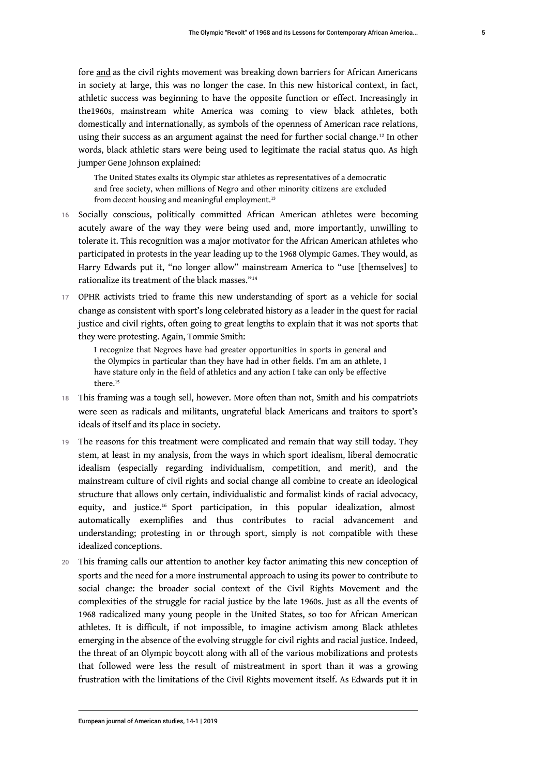fore and as the civil rights movement was breaking down barriers for African Americans in society at large, this was no longer the case. In this new historical context, in fact, athletic success was beginning to have the opposite function or effect. Increasingly in the1960s, mainstream white America was coming to view black athletes, both domestically and internationally, as symbols of the openness of American race relations, using their success as an argument against the need for further social change.<sup>[12](#page-21-5)</sup> In other words, black athletic stars were being used to legitimate the racial status quo. As high jumper Gene Johnson explained:

<span id="page-5-1"></span><span id="page-5-0"></span>The United States exalts its Olympic star athletes as representatives of a democratic and free society, when millions of Negro and other minority citizens are excluded from decent housing and meaningful employment.<sup>[13](#page-21-6)</sup>

- 16 Socially conscious, politically committed African American athletes were becoming acutely aware of the way they were being used and, more importantly, unwilling to tolerate it. This recognition was a major motivator for the African American athletes who participated in protests in the year leading up to the 1968 Olympic Games. They would, as Harry Edwards put it, "no longer allow" mainstream America to "use [themselves] to rationalize its treatment of the black masses."[14](#page-21-7)
- 17 OPHR activists tried to frame this new understanding of sport as a vehicle for social change as consistent with sport's long celebrated history as a leader in the quest for racial justice and civil rights, often going to great lengths to explain that it was not sports that they were protesting. Again, Tommie Smith:

<span id="page-5-3"></span><span id="page-5-2"></span>I recognize that Negroes have had greater opportunities in sports in general and the Olympics in particular than they have had in other fields. I'm am an athlete, I have stature only in the field of athletics and any action I take can only be effective there<sup>[15](#page-21-8)</sup>

- 18 This framing was a tough sell, however. More often than not, Smith and his compatriots were seen as radicals and militants, ungrateful black Americans and traitors to sport's ideals of itself and its place in society.
- 19 The reasons for this treatment were complicated and remain that way still today. They stem, at least in my analysis, from the ways in which sport idealism, liberal democratic idealism (especially regarding individualism, competition, and merit), and the mainstream culture of civil rights and social change all combine to create an ideological structure that allows only certain, individualistic and formalist kinds of racial advocacy, equity, and justice.[16](#page-21-9) Sport participation, in this popular idealization, almost automatically exemplifies and thus contributes to racial advancement and understanding; protesting in or through sport, simply is not compatible with these idealized conceptions.
- <span id="page-5-4"></span>20 This framing calls our attention to another key factor animating this new conception of sports and the need for a more instrumental approach to using its power to contribute to social change: the broader social context of the Civil Rights Movement and the complexities of the struggle for racial justice by the late 1960s. Just as all the events of 1968 radicalized many young people in the United States, so too for African American athletes. It is difficult, if not impossible, to imagine activism among Black athletes emerging in the absence of the evolving struggle for civil rights and racial justice. Indeed, the threat of an Olympic boycott along with all of the various mobilizations and protests that followed were less the result of mistreatment in sport than it was a growing frustration with the limitations of the Civil Rights movement itself. As Edwards put it in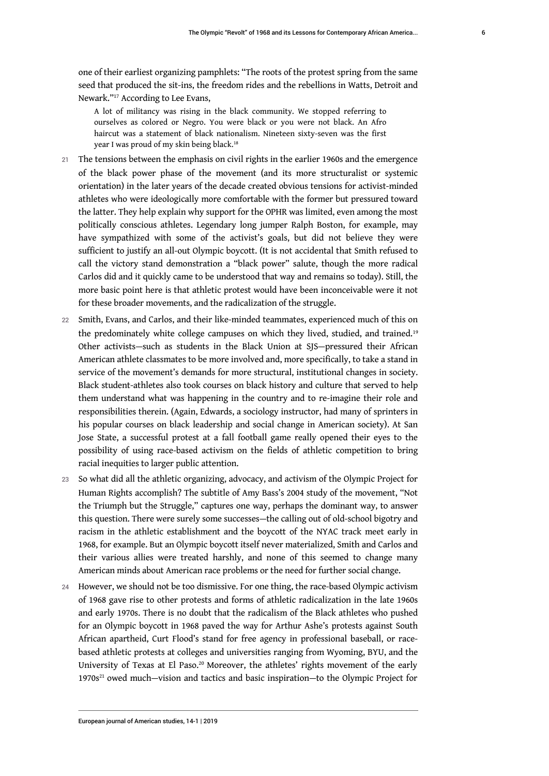one of their earliest organizing pamphlets: "The roots of the protest spring from the same seed that produced the sit-ins, the freedom rides and the rebellions in Watts, Detroit and Newark."[17](#page-21-10) According to Lee Evans,

<span id="page-6-1"></span><span id="page-6-0"></span>A lot of militancy was rising in the black community. We stopped referring to ourselves as colored or Negro. You were black or you were not black. An Afro haircut was a statement of black nationalism. Nineteen sixty-seven was the first year I was proud of my skin being black.<sup>[18](#page-21-11)</sup>

- 21 The tensions between the emphasis on civil rights in the earlier 1960s and the emergence of the black power phase of the movement (and its more structuralist or systemic orientation) in the later years of the decade created obvious tensions for activist-minded athletes who were ideologically more comfortable with the former but pressured toward the latter. They help explain why support for the OPHR was limited, even among the most politically conscious athletes. Legendary long jumper Ralph Boston, for example, may have sympathized with some of the activist's goals, but did not believe they were sufficient to justify an all-out Olympic boycott. (It is not accidental that Smith refused to call the victory stand demonstration a "black power" salute, though the more radical Carlos did and it quickly came to be understood that way and remains so today). Still, the more basic point here is that athletic protest would have been inconceivable were it not for these broader movements, and the radicalization of the struggle.
- <span id="page-6-2"></span>22 Smith, Evans, and Carlos, and their like-minded teammates, experienced much of this on the predominately white college campuses on which they lived, studied, and trained.[19](#page-21-12) Other activists—such as students in the Black Union at SJS—pressured their African American athlete classmates to be more involved and, more specifically, to take a stand in service of the movement's demands for more structural, institutional changes in society. Black student-athletes also took courses on black history and culture that served to help them understand what was happening in the country and to re-imagine their role and responsibilities therein. (Again, Edwards, a sociology instructor, had many of sprinters in his popular courses on black leadership and social change in American society). At San Jose State, a successful protest at a fall football game really opened their eyes to the possibility of using race-based activism on the fields of athletic competition to bring racial inequities to larger public attention.
- 23 So what did all the athletic organizing, advocacy, and activism of the Olympic Project for Human Rights accomplish? The subtitle of Amy Bass's 2004 study of the movement, "Not the Triumph but the Struggle," captures one way, perhaps the dominant way, to answer this question. There were surely some successes—the calling out of old-school bigotry and racism in the athletic establishment and the boycott of the NYAC track meet early in 1968, for example. But an Olympic boycott itself never materialized, Smith and Carlos and their various allies were treated harshly, and none of this seemed to change many American minds about American race problems or the need for further social change.
- <span id="page-6-4"></span><span id="page-6-3"></span>24 However, we should not be too dismissive. For one thing, the race-based Olympic activism of 1968 gave rise to other protests and forms of athletic radicalization in the late 1960s and early 1970s. There is no doubt that the radicalism of the Black athletes who pushed for an Olympic boycott in 1968 paved the way for Arthur Ashe's protests against South African apartheid, Curt Flood's stand for free agency in professional baseball, or racebased athletic protests at colleges and universities ranging from Wyoming, BYU, and the University of Texas at El Paso.<sup>[20](#page-21-13)</sup> Moreover, the athletes' rights movement of the early  $1970s<sup>21</sup>$  $1970s<sup>21</sup>$  $1970s<sup>21</sup>$  owed much—vision and tactics and basic inspiration—to the Olympic Project for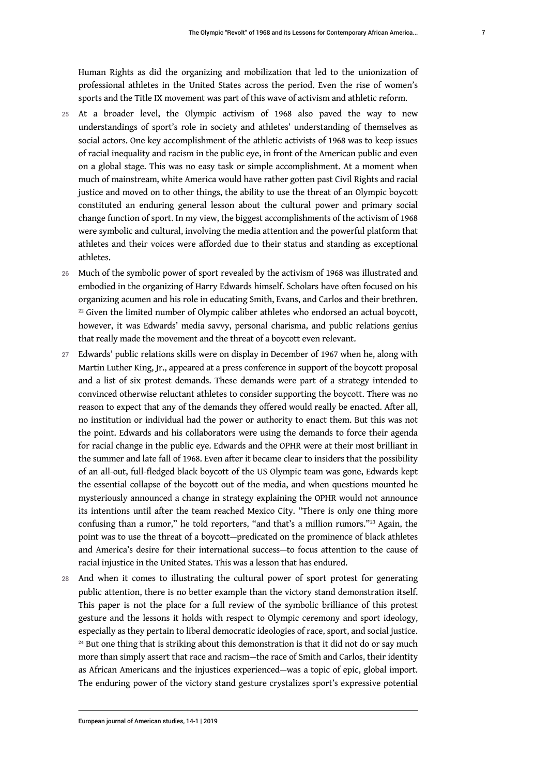Human Rights as did the organizing and mobilization that led to the unionization of professional athletes in the United States across the period. Even the rise of women's sports and the Title IX movement was part of this wave of activism and athletic reform.

- 25 At a broader level, the Olympic activism of 1968 also paved the way to new understandings of sport's role in society and athletes' understanding of themselves as social actors. One key accomplishment of the athletic activists of 1968 was to keep issues of racial inequality and racism in the public eye, in front of the American public and even on a global stage. This was no easy task or simple accomplishment. At a moment when much of mainstream, white America would have rather gotten past Civil Rights and racial justice and moved on to other things, the ability to use the threat of an Olympic boycott constituted an enduring general lesson about the cultural power and primary social change function of sport. In my view, the biggest accomplishments of the activism of 1968 were symbolic and cultural, involving the media attention and the powerful platform that athletes and their voices were afforded due to their status and standing as exceptional athletes.
- <span id="page-7-0"></span>26 Much of the symbolic power of sport revealed by the activism of 1968 was illustrated and embodied in the organizing of Harry Edwards himself. Scholars have often focused on his organizing acumen and his role in educating Smith, Evans, and Carlos and their brethren.  $22$  Given the limited number of Olympic caliber athletes who endorsed an actual boycott, however, it was Edwards' media savvy, personal charisma, and public relations genius that really made the movement and the threat of a boycott even relevant.
- 27 Edwards' public relations skills were on display in December of 1967 when he, along with Martin Luther King, Jr., appeared at a press conference in support of the boycott proposal and a list of six protest demands. These demands were part of a strategy intended to convinced otherwise reluctant athletes to consider supporting the boycott. There was no reason to expect that any of the demands they offered would really be enacted. After all, no institution or individual had the power or authority to enact them. But this was not the point. Edwards and his collaborators were using the demands to force their agenda for racial change in the public eye. Edwards and the OPHR were at their most brilliant in the summer and late fall of 1968. Even after it became clear to insiders that the possibility of an all-out, full-fledged black boycott of the US Olympic team was gone, Edwards kept the essential collapse of the boycott out of the media, and when questions mounted he mysteriously announced a change in strategy explaining the OPHR would not announce its intentions until after the team reached Mexico City. "There is only one thing more confusing than a rumor," he told reporters, "and that's a million rumors."<sup>[23](#page-21-16)</sup> Again, the point was to use the threat of a boycott—predicated on the prominence of black athletes and America's desire for their international success—to focus attention to the cause of racial injustice in the United States. This was a lesson that has endured.
- <span id="page-7-2"></span><span id="page-7-1"></span>28 And when it comes to illustrating the cultural power of sport protest for generating public attention, there is no better example than the victory stand demonstration itself. This paper is not the place for a full review of the symbolic brilliance of this protest gesture and the lessons it holds with respect to Olympic ceremony and sport ideology, especially as they pertain to liberal democratic ideologies of race, sport, and social justice.  $24$  But one thing that is striking about this demonstration is that it did not do or say much more than simply assert that race and racism—the race of Smith and Carlos, their identity as African Americans and the injustices experienced—was a topic of epic, global import. The enduring power of the victory stand gesture crystalizes sport's expressive potential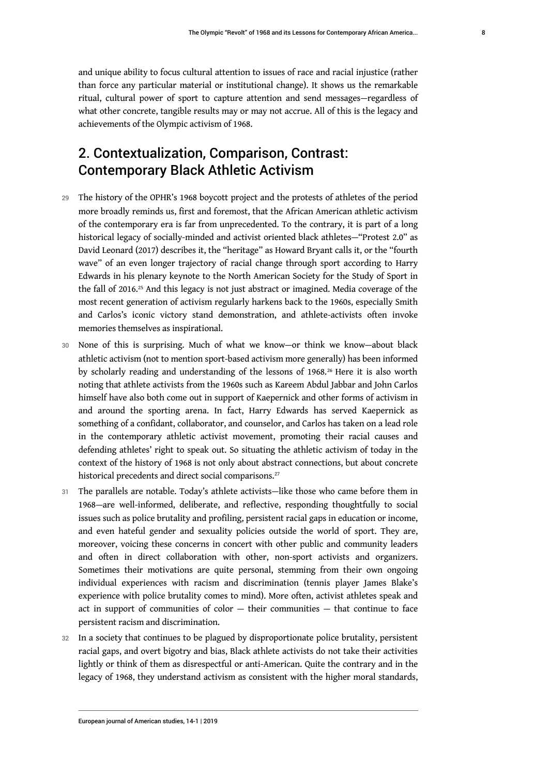and unique ability to focus cultural attention to issues of race and racial injustice (rather than force any particular material or institutional change). It shows us the remarkable ritual, cultural power of sport to capture attention and send messages—regardless of what other concrete, tangible results may or may not accrue. All of this is the legacy and achievements of the Olympic activism of 1968.

# 2. Contextualization, Comparison, Contrast: Contemporary Black Athletic Activism

- 29 The history of the OPHR's 1968 boycott project and the protests of athletes of the period more broadly reminds us, first and foremost, that the African American athletic activism of the contemporary era is far from unprecedented. To the contrary, it is part of a long historical legacy of socially-minded and activist oriented black athletes—"Protest 2.0" as David Leonard (2017) describes it, the "heritage" as Howard Bryant calls it, or the "fourth wave" of an even longer trajectory of racial change through sport according to Harry Edwards in his plenary keynote to the North American Society for the Study of Sport in the fall of 2016.<sup>[25](#page-22-0)</sup> And this legacy is not just abstract or imagined. Media coverage of the most recent generation of activism regularly harkens back to the 1960s, especially Smith and Carlos's iconic victory stand demonstration, and athlete-activists often invoke memories themselves as inspirational.
- <span id="page-8-1"></span><span id="page-8-0"></span>30 None of this is surprising. Much of what we know—or think we know—about black athletic activism (not to mention sport-based activism more generally) has been informed by scholarly reading and understanding of the lessons of 1968.<sup>[26](#page-22-1)</sup> Here it is also worth noting that athlete activists from the 1960s such as Kareem Abdul Jabbar and John Carlos himself have also both come out in support of Kaepernick and other forms of activism in and around the sporting arena. In fact, Harry Edwards has served Kaepernick as something of a confidant, collaborator, and counselor, and Carlos has taken on a lead role in the contemporary athletic activist movement, promoting their racial causes and defending athletes' right to speak out. So situating the athletic activism of today in the context of the history of 1968 is not only about abstract connections, but about concrete historical precedents and direct social comparisons. [27](#page-22-2)
- <span id="page-8-2"></span>31 The parallels are notable. Today's athlete activists—like those who came before them in 1968—are well-informed, deliberate, and reflective, responding thoughtfully to social issues such as police brutality and profiling, persistent racial gaps in education or income, and even hateful gender and sexuality policies outside the world of sport. They are, moreover, voicing these concerns in concert with other public and community leaders and often in direct collaboration with other, non-sport activists and organizers. Sometimes their motivations are quite personal, stemming from their own ongoing individual experiences with racism and discrimination (tennis player James Blake's experience with police brutality comes to mind). More often, activist athletes speak and act in support of communities of color — their communities — that continue to face persistent racism and discrimination.
- 32 In a society that continues to be plagued by disproportionate police brutality, persistent racial gaps, and overt bigotry and bias, Black athlete activists do not take their activities lightly or think of them as disrespectful or anti-American. Quite the contrary and in the legacy of 1968, they understand activism as consistent with the higher moral standards,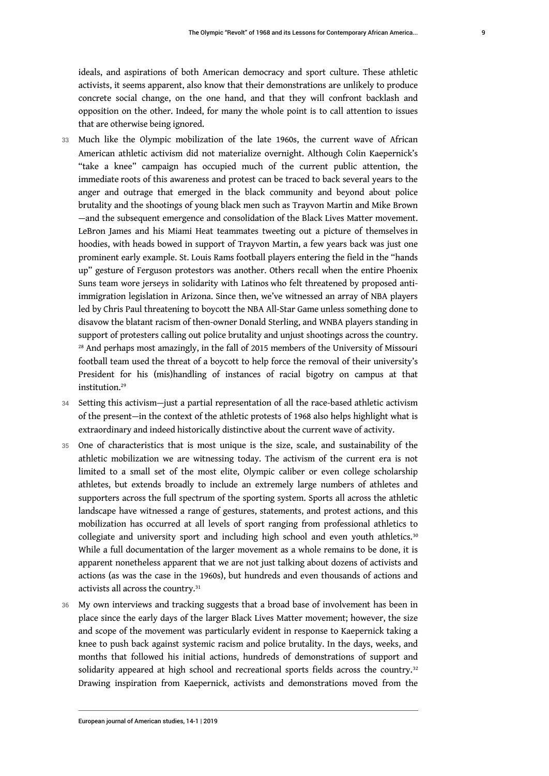ideals, and aspirations of both American democracy and sport culture. These athletic activists, it seems apparent, also know that their demonstrations are unlikely to produce concrete social change, on the one hand, and that they will confront backlash and opposition on the other. Indeed, for many the whole point is to call attention to issues that are otherwise being ignored.

- 33 Much like the Olympic mobilization of the late 1960s, the current wave of African American athletic activism did not materialize overnight. Although Colin Kaepernick's "take a knee" campaign has occupied much of the current public attention, the immediate roots of this awareness and protest can be traced to back several years to the anger and outrage that emerged in the black community and beyond about police brutality and the shootings of young black men such as Trayvon Martin and Mike Brown —and the subsequent emergence and consolidation of the Black Lives Matter movement. LeBron James and his Miami Heat teammates tweeting out a picture of themselves in hoodies, with heads bowed in support of Trayvon Martin, a few years back was just one prominent early example. St. Louis Rams football players entering the field in the "hands up" gesture of Ferguson protestors was another. Others recall when the entire Phoenix Suns team wore jerseys in solidarity with Latinos who felt threatened by proposed antiimmigration legislation in Arizona. Since then, we've witnessed an array of NBA players led by Chris Paul threatening to boycott the NBA All-Star Game unless something done to disavow the blatant racism of then-owner Donald Sterling, and WNBA players standing in support of protesters calling out police brutality and unjust shootings across the country. <sup>[28](#page-22-3)</sup> And perhaps most amazingly, in the fall of 2015 members of the University of Missouri football team used the threat of a boycott to help force the removal of their university's President for his (mis)handling of instances of racial bigotry on campus at that institution.<sup>[29](#page-22-4)</sup>
- <span id="page-9-1"></span><span id="page-9-0"></span>34 Setting this activism—just a partial representation of all the race-based athletic activism of the present—in the context of the athletic protests of 1968 also helps highlight what is extraordinary and indeed historically distinctive about the current wave of activity.
- 35 One of characteristics that is most unique is the size, scale, and sustainability of the athletic mobilization we are witnessing today. The activism of the current era is not limited to a small set of the most elite, Olympic caliber or even college scholarship athletes, but extends broadly to include an extremely large numbers of athletes and supporters across the full spectrum of the sporting system. Sports all across the athletic landscape have witnessed a range of gestures, statements, and protest actions, and this mobilization has occurred at all levels of sport ranging from professional athletics to collegiate and university sport and including high school and even youth athletics.[30](#page-22-5) While a full documentation of the larger movement as a whole remains to be done, it is apparent nonetheless apparent that we are not just talking about dozens of activists and actions (as was the case in the 1960s), but hundreds and even thousands of actions and activists all across the country.<sup>[31](#page-22-6)</sup>
- <span id="page-9-4"></span><span id="page-9-3"></span><span id="page-9-2"></span>36 My own interviews and tracking suggests that a broad base of involvement has been in place since the early days of the larger Black Lives Matter movement; however, the size and scope of the movement was particularly evident in response to Kaepernick taking a knee to push back against systemic racism and police brutality. In the days, weeks, and months that followed his initial actions, hundreds of demonstrations of support and solidarity appeared at high school and recreational sports fields across the country.<sup>[32](#page-22-7)</sup> Drawing inspiration from Kaepernick, activists and demonstrations moved from the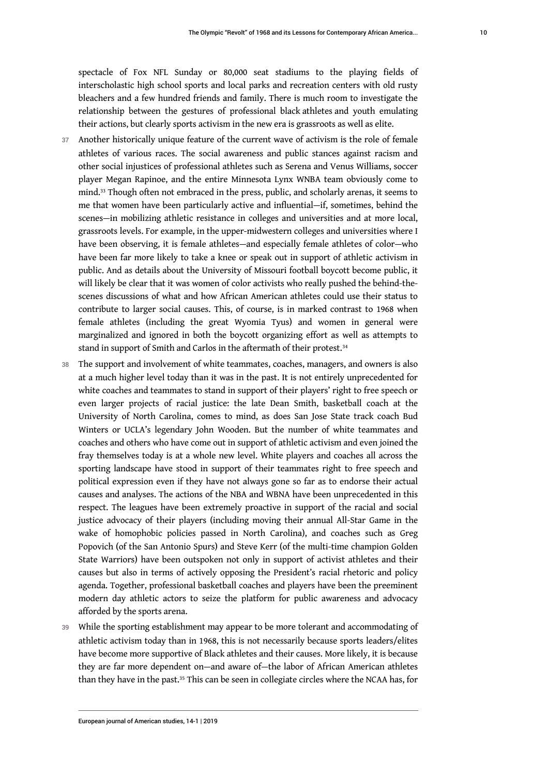spectacle of Fox NFL Sunday or 80,000 seat stadiums to the playing fields of interscholastic high school sports and local parks and recreation centers with old rusty bleachers and a few hundred friends and family. There is much room to investigate the relationship between the gestures of professional black athletes and youth emulating their actions, but clearly sports activism in the new era is grassroots as well as elite.

- <span id="page-10-0"></span>37 Another historically unique feature of the current wave of activism is the role of female athletes of various races. The social awareness and public stances against racism and other social injustices of professional athletes such as Serena and Venus Williams, soccer player Megan Rapinoe, and the entire Minnesota Lynx WNBA team obviously come to mind.[33](#page-22-8) Though often not embraced in the press, public, and scholarly arenas, it seems to me that women have been particularly active and influential—if, sometimes, behind the scenes—in mobilizing athletic resistance in colleges and universities and at more local, grassroots levels. For example, in the upper-midwestern colleges and universities where I have been observing, it is female athletes—and especially female athletes of color—who have been far more likely to take a knee or speak out in support of athletic activism in public. And as details about the University of Missouri football boycott become public, it will likely be clear that it was women of color activists who really pushed the behind-thescenes discussions of what and how African American athletes could use their status to contribute to larger social causes. This, of course, is in marked contrast to 1968 when female athletes (including the great Wyomia Tyus) and women in general were marginalized and ignored in both the boycott organizing effort as well as attempts to stand in support of Smith and Carlos in the aftermath of their protest.<sup>[34](#page-22-9)</sup>
- <span id="page-10-1"></span>38 The support and involvement of white teammates, coaches, managers, and owners is also at a much higher level today than it was in the past. It is not entirely unprecedented for white coaches and teammates to stand in support of their players' right to free speech or even larger projects of racial justice: the late Dean Smith, basketball coach at the University of North Carolina, comes to mind, as does San Jose State track coach Bud Winters or UCLA's legendary John Wooden. But the number of white teammates and coaches and others who have come out in support of athletic activism and even joined the fray themselves today is at a whole new level. White players and coaches all across the sporting landscape have stood in support of their teammates right to free speech and political expression even if they have not always gone so far as to endorse their actual causes and analyses. The actions of the NBA and WBNA have been unprecedented in this respect. The leagues have been extremely proactive in support of the racial and social justice advocacy of their players (including moving their annual All-Star Game in the wake of homophobic policies passed in North Carolina), and coaches such as Greg Popovich (of the San Antonio Spurs) and Steve Kerr (of the multi-time champion Golden State Warriors) have been outspoken not only in support of activist athletes and their causes but also in terms of actively opposing the President's racial rhetoric and policy agenda. Together, professional basketball coaches and players have been the preeminent modern day athletic actors to seize the platform for public awareness and advocacy afforded by the sports arena.
- <span id="page-10-2"></span>39 While the sporting establishment may appear to be more tolerant and accommodating of athletic activism today than in 1968, this is not necessarily because sports leaders/elites have become more supportive of Black athletes and their causes. More likely, it is because they are far more dependent on—and aware of—the labor of African American athletes than they have in the past.<sup>[35](#page-22-10)</sup> This can be seen in collegiate circles where the NCAA has, for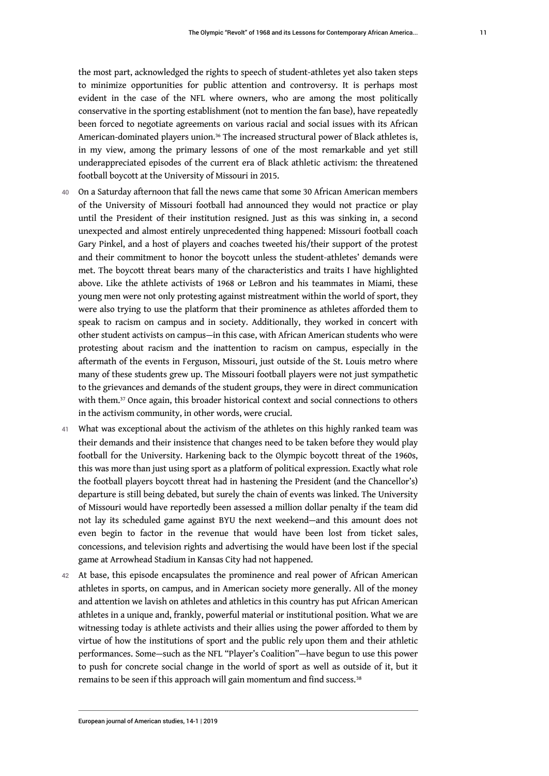<span id="page-11-0"></span>the most part, acknowledged the rights to speech of student-athletes yet also taken steps to minimize opportunities for public attention and controversy. It is perhaps most evident in the case of the NFL where owners, who are among the most politically conservative in the sporting establishment (not to mention the fan base), have repeatedly been forced to negotiate agreements on various racial and social issues with its African American-dominated players union.<sup>[36](#page-22-11)</sup> The increased structural power of Black athletes is, in my view, among the primary lessons of one of the most remarkable and yet still underappreciated episodes of the current era of Black athletic activism: the threatened football boycott at the University of Missouri in 2015.

- 40 On a Saturday afternoon that fall the news came that some 30 African American members of the University of Missouri football had announced they would not practice or play until the President of their institution resigned. Just as this was sinking in, a second unexpected and almost entirely unprecedented thing happened: Missouri football coach Gary Pinkel, and a host of players and coaches tweeted his/their support of the protest and their commitment to honor the boycott unless the student-athletes' demands were met. The boycott threat bears many of the characteristics and traits I have highlighted above. Like the athlete activists of 1968 or LeBron and his teammates in Miami, these young men were not only protesting against mistreatment within the world of sport, they were also trying to use the platform that their prominence as athletes afforded them to speak to racism on campus and in society. Additionally, they worked in concert with other student activists on campus—in this case, with African American students who were protesting about racism and the inattention to racism on campus, especially in the aftermath of the events in Ferguson, Missouri, just outside of the St. Louis metro where many of these students grew up. The Missouri football players were not just sympathetic to the grievances and demands of the student groups, they were in direct communication with them. $37$  Once again, this broader historical context and social connections to others in the activism community, in other words, were crucial.
- <span id="page-11-1"></span>41 What was exceptional about the activism of the athletes on this highly ranked team was their demands and their insistence that changes need to be taken before they would play football for the University. Harkening back to the Olympic boycott threat of the 1960s, this was more than just using sport as a platform of political expression. Exactly what role the football players boycott threat had in hastening the President (and the Chancellor's) departure is still being debated, but surely the chain of events was linked. The University of Missouri would have reportedly been assessed a million dollar penalty if the team did not lay its scheduled game against BYU the next weekend—and this amount does not even begin to factor in the revenue that would have been lost from ticket sales, concessions, and television rights and advertising the would have been lost if the special game at Arrowhead Stadium in Kansas City had not happened.
- <span id="page-11-2"></span>42 At base, this episode encapsulates the prominence and real power of African American athletes in sports, on campus, and in American society more generally. All of the money and attention we lavish on athletes and athletics in this country has put African American athletes in a unique and, frankly, powerful material or institutional position. What we are witnessing today is athlete activists and their allies using the power afforded to them by virtue of how the institutions of sport and the public rely upon them and their athletic performances. Some—such as the NFL "Player's Coalition"—have begun to use this power to push for concrete social change in the world of sport as well as outside of it, but it remains to be seen if this approach will gain momentum and find success.<sup>[38](#page-23-0)</sup>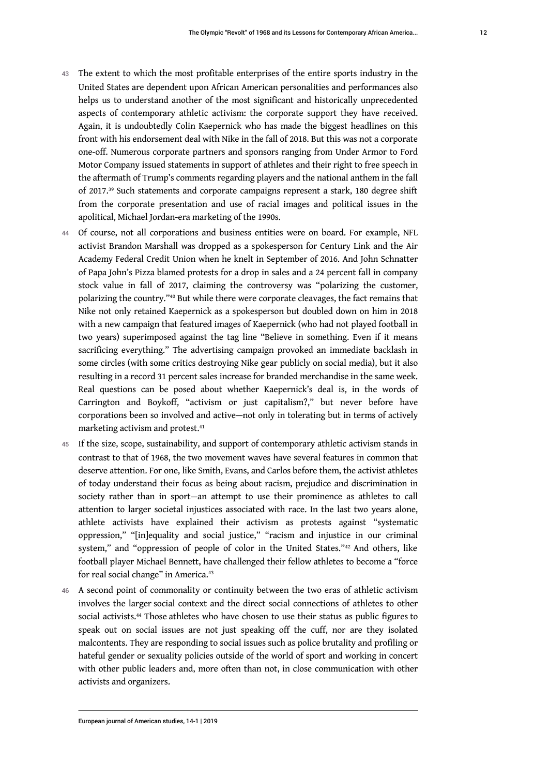- 43 The extent to which the most profitable enterprises of the entire sports industry in the United States are dependent upon African American personalities and performances also helps us to understand another of the most significant and historically unprecedented aspects of contemporary athletic activism: the corporate support they have received. Again, it is undoubtedly Colin Kaepernick who has made the biggest headlines on this front with his endorsement deal with Nike in the fall of 2018. But this was not a corporate one-off. Numerous corporate partners and sponsors ranging from Under Armor to Ford Motor Company issued statements in support of athletes and their right to free speech in the aftermath of Trump's comments regarding players and the national anthem in the fall of 2017.[39](#page-23-1) Such statements and corporate campaigns represent a stark, 180 degree shift from the corporate presentation and use of racial images and political issues in the apolitical, Michael Jordan-era marketing of the 1990s.
- <span id="page-12-1"></span><span id="page-12-0"></span>44 Of course, not all corporations and business entities were on board. For example, NFL activist Brandon Marshall was dropped as a spokesperson for Century Link and the Air Academy Federal Credit Union when he knelt in September of 2016. And John Schnatter of Papa John's Pizza blamed protests for a drop in sales and a 24 percent fall in company stock value in fall of 2017, claiming the controversy was "polarizing the customer, polarizing the country."[40](#page-23-2) But while there were corporate cleavages, the fact remains that Nike not only retained Kaepernick as a spokesperson but doubled down on him in 2018 with a new campaign that featured images of Kaepernick (who had not played football in two years) superimposed against the tag line "Believe in something. Even if it means sacrificing everything." The advertising campaign provoked an immediate backlash in some circles (with some critics destroying Nike gear publicly on social media), but it also resulting in a record 31 percent sales increase for branded merchandise in the same week. Real questions can be posed about whether Kaepernick's deal is, in the words of Carrington and Boykoff, "activism or just capitalism?," but never before have corporations been so involved and active—not only in tolerating but in terms of actively marketing activism and protest.[41](#page-23-3)
- <span id="page-12-2"></span>45 If the size, scope, sustainability, and support of contemporary athletic activism stands in contrast to that of 1968, the two movement waves have several features in common that deserve attention. For one, like Smith, Evans, and Carlos before them, the activist athletes of today understand their focus as being about racism, prejudice and discrimination in society rather than in sport—an attempt to use their prominence as athletes to call attention to larger societal injustices associated with race. In the last two years alone, athlete activists have explained their activism as protests against "systematic oppression," "[in]equality and social justice," "racism and injustice in our criminal system," and "oppression of people of color in the United States."<sup>[42](#page-23-4)</sup> And others, like football player Michael Bennett, have challenged their fellow athletes to become a "force for real social change" in America.<sup>[43](#page-23-5)</sup>
- <span id="page-12-5"></span><span id="page-12-4"></span><span id="page-12-3"></span>46 A second point of commonality or continuity between the two eras of athletic activism involves the larger social context and the direct social connections of athletes to other social activists.<sup>[44](#page-23-6)</sup> Those athletes who have chosen to use their status as public figures to speak out on social issues are not just speaking off the cuff, nor are they isolated malcontents. They are responding to social issues such as police brutality and profiling or hateful gender or sexuality policies outside of the world of sport and working in concert with other public leaders and, more often than not, in close communication with other activists and organizers.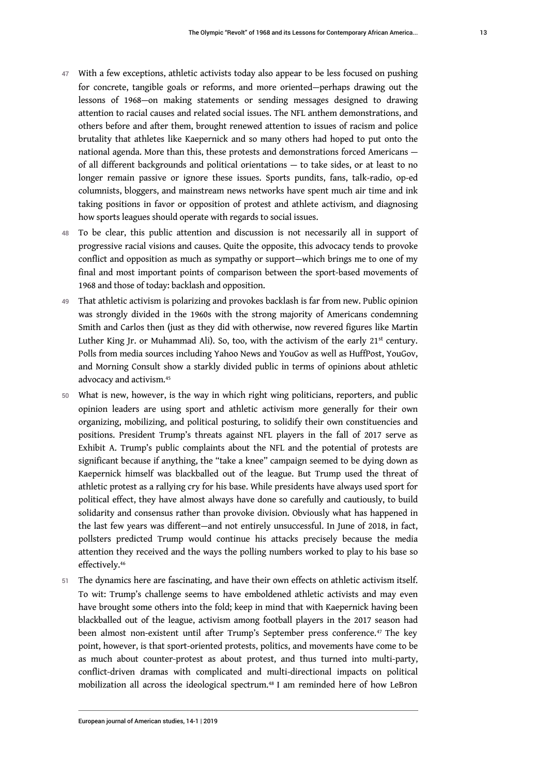- 47 With a few exceptions, athletic activists today also appear to be less focused on pushing for concrete, tangible goals or reforms, and more oriented—perhaps drawing out the lessons of 1968—on making statements or sending messages designed to drawing attention to racial causes and related social issues. The NFL anthem demonstrations, and others before and after them, brought renewed attention to issues of racism and police brutality that athletes like Kaepernick and so many others had hoped to put onto the national agenda. More than this, these protests and demonstrations forced Americans of all different backgrounds and political orientations — to take sides, or at least to no longer remain passive or ignore these issues. Sports pundits, fans, talk-radio, op-ed columnists, bloggers, and mainstream news networks have spent much air time and ink taking positions in favor or opposition of protest and athlete activism, and diagnosing how sports leagues should operate with regards to social issues.
- 48 To be clear, this public attention and discussion is not necessarily all in support of progressive racial visions and causes. Quite the opposite, this advocacy tends to provoke conflict and opposition as much as sympathy or support—which brings me to one of my final and most important points of comparison between the sport-based movements of 1968 and those of today: backlash and opposition.
- 49 That athletic activism is polarizing and provokes backlash is far from new. Public opinion was strongly divided in the 1960s with the strong majority of Americans condemning Smith and Carlos then (just as they did with otherwise, now revered figures like Martin Luther King Jr. or Muhammad Ali). So, too, with the activism of the early  $21^{st}$  century. Polls from media sources including Yahoo News and YouGov as well as HuffPost, YouGov, and Morning Consult show a starkly divided public in terms of opinions about athletic advocacy and activism.[45](#page-23-7)
- <span id="page-13-0"></span>What is new, however, is the way in which right wing politicians, reporters, and public opinion leaders are using sport and athletic activism more generally for their own organizing, mobilizing, and political posturing, to solidify their own constituencies and positions. President Trump's threats against NFL players in the fall of 2017 serve as Exhibit A. Trump's public complaints about the NFL and the potential of protests are significant because if anything, the "take a knee" campaign seemed to be dying down as Kaepernick himself was blackballed out of the league. But Trump used the threat of athletic protest as a rallying cry for his base. While presidents have always used sport for political effect, they have almost always have done so carefully and cautiously, to build solidarity and consensus rather than provoke division. Obviously what has happened in the last few years was different—and not entirely unsuccessful. In June of 2018, in fact, pollsters predicted Trump would continue his attacks precisely because the media attention they received and the ways the polling numbers worked to play to his base so effectively.[46](#page-23-8)
- <span id="page-13-3"></span><span id="page-13-2"></span><span id="page-13-1"></span>51 The dynamics here are fascinating, and have their own effects on athletic activism itself. To wit: Trump's challenge seems to have emboldened athletic activists and may even have brought some others into the fold; keep in mind that with Kaepernick having been blackballed out of the league, activism among football players in the 2017 season had been almost non-existent until after Trump's September press conference.<sup>[47](#page-23-9)</sup> The key point, however, is that sport-oriented protests, politics, and movements have come to be as much about counter-protest as about protest, and thus turned into multi-party, conflict-driven dramas with complicated and multi-directional impacts on political mobilization all across the ideological spectrum.<sup>[48](#page-23-10)</sup> I am reminded here of how LeBron

13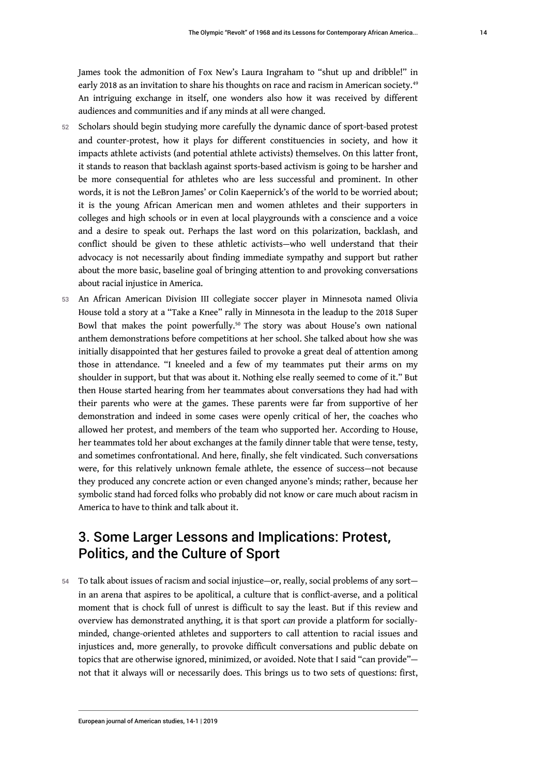<span id="page-14-0"></span>James took the admonition of Fox New's Laura Ingraham to "shut up and dribble!" in early 2018 as an invitation to share his thoughts on race and racism in American society.<sup>[49](#page-23-11)</sup> An intriguing exchange in itself, one wonders also how it was received by different audiences and communities and if any minds at all were changed.

- 52 Scholars should begin studying more carefully the dynamic dance of sport-based protest and counter-protest, how it plays for different constituencies in society, and how it impacts athlete activists (and potential athlete activists) themselves. On this latter front, it stands to reason that backlash against sports-based activism is going to be harsher and be more consequential for athletes who are less successful and prominent. In other words, it is not the LeBron James' or Colin Kaepernick's of the world to be worried about; it is the young African American men and women athletes and their supporters in colleges and high schools or in even at local playgrounds with a conscience and a voice and a desire to speak out. Perhaps the last word on this polarization, backlash, and conflict should be given to these athletic activists—who well understand that their advocacy is not necessarily about finding immediate sympathy and support but rather about the more basic, baseline goal of bringing attention to and provoking conversations about racial injustice in America.
- <span id="page-14-1"></span>53 An African American Division III collegiate soccer player in Minnesota named Olivia House told a story at a "Take a Knee" rally in Minnesota in the leadup to the 2018 Super Bowl that makes the point powerfully.[50](#page-23-12) The story was about House's own national anthem demonstrations before competitions at her school. She talked about how she was initially disappointed that her gestures failed to provoke a great deal of attention among those in attendance. "I kneeled and a few of my teammates put their arms on my shoulder in support, but that was about it. Nothing else really seemed to come of it." But then House started hearing from her teammates about conversations they had had with their parents who were at the games. These parents were far from supportive of her demonstration and indeed in some cases were openly critical of her, the coaches who allowed her protest, and members of the team who supported her. According to House, her teammates told her about exchanges at the family dinner table that were tense, testy, and sometimes confrontational. And here, finally, she felt vindicated. Such conversations were, for this relatively unknown female athlete, the essence of success—not because they produced any concrete action or even changed anyone's minds; rather, because her symbolic stand had forced folks who probably did not know or care much about racism in America to have to think and talk about it.

## 3. Some Larger Lessons and Implications: Protest, Politics, and the Culture of Sport

54 To talk about issues of racism and social injustice—or, really, social problems of any sort in an arena that aspires to be apolitical, a culture that is conflict-averse, and a political moment that is chock full of unrest is difficult to say the least. But if this review and overview has demonstrated anything, it is that sport *can* provide a platform for sociallyminded, change-oriented athletes and supporters to call attention to racial issues and injustices and, more generally, to provoke difficult conversations and public debate on topics that are otherwise ignored, minimized, or avoided. Note that I said "can provide" not that it always will or necessarily does. This brings us to two sets of questions: first,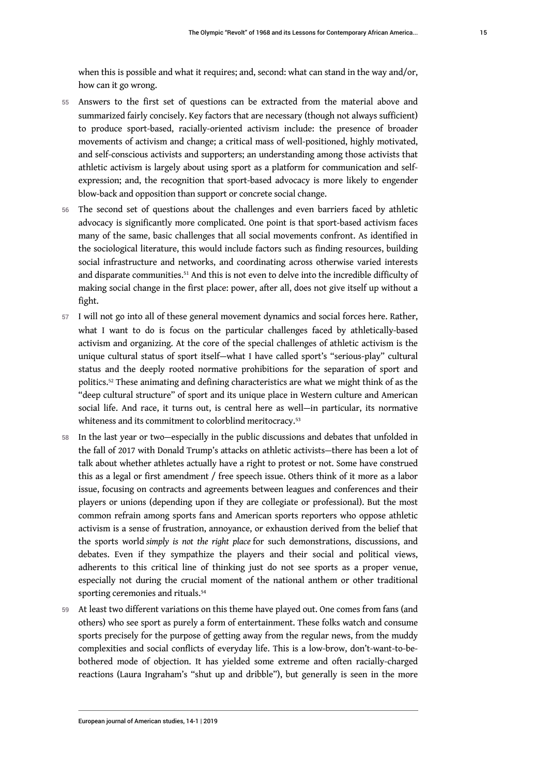when this is possible and what it requires; and, second: what can stand in the way and/or, how can it go wrong.

- 55 Answers to the first set of questions can be extracted from the material above and summarized fairly concisely. Key factors that are necessary (though not always sufficient) to produce sport-based, racially-oriented activism include: the presence of broader movements of activism and change; a critical mass of well-positioned, highly motivated, and self-conscious activists and supporters; an understanding among those activists that athletic activism is largely about using sport as a platform for communication and selfexpression; and, the recognition that sport-based advocacy is more likely to engender blow-back and opposition than support or concrete social change.
- 56 The second set of questions about the challenges and even barriers faced by athletic advocacy is significantly more complicated. One point is that sport-based activism faces many of the same, basic challenges that all social movements confront. As identified in the sociological literature, this would include factors such as finding resources, building social infrastructure and networks, and coordinating across otherwise varied interests and disparate communities.<sup>[51](#page-23-13)</sup> And this is not even to delve into the incredible difficulty of making social change in the first place: power, after all, does not give itself up without a fight.
- <span id="page-15-0"></span>57 I will not go into all of these general movement dynamics and social forces here. Rather, what I want to do is focus on the particular challenges faced by athletically-based activism and organizing. At the core of the special challenges of athletic activism is the unique cultural status of sport itself—what I have called sport's "serious-play" cultural status and the deeply rooted normative prohibitions for the separation of sport and politics.[52](#page-23-14) These animating and defining characteristics are what we might think of as the "deep cultural structure" of sport and its unique place in Western culture and American social life. And race, it turns out, is central here as well—in particular, its normative whiteness and its commitment to colorblind meritocracy.<sup>[53](#page-23-15)</sup>
- <span id="page-15-2"></span><span id="page-15-1"></span>58 In the last year or two—especially in the public discussions and debates that unfolded in the fall of 2017 with Donald Trump's attacks on athletic activists—there has been a lot of talk about whether athletes actually have a right to protest or not. Some have construed this as a legal or first amendment / free speech issue. Others think of it more as a labor issue, focusing on contracts and agreements between leagues and conferences and their players or unions (depending upon if they are collegiate or professional). But the most common refrain among sports fans and American sports reporters who oppose athletic activism is a sense of frustration, annoyance, or exhaustion derived from the belief that the sports world *simply is not the right place* for such demonstrations, discussions, and debates. Even if they sympathize the players and their social and political views, adherents to this critical line of thinking just do not see sports as a proper venue, especially not during the crucial moment of the national anthem or other traditional sporting ceremonies and rituals.<sup>[54](#page-23-16)</sup>
- <span id="page-15-3"></span>59 At least two different variations on this theme have played out. One comes from fans (and others) who see sport as purely a form of entertainment. These folks watch and consume sports precisely for the purpose of getting away from the regular news, from the muddy complexities and social conflicts of everyday life. This is a low-brow, don't-want-to-bebothered mode of objection. It has yielded some extreme and often racially-charged reactions (Laura Ingraham's "shut up and dribble"), but generally is seen in the more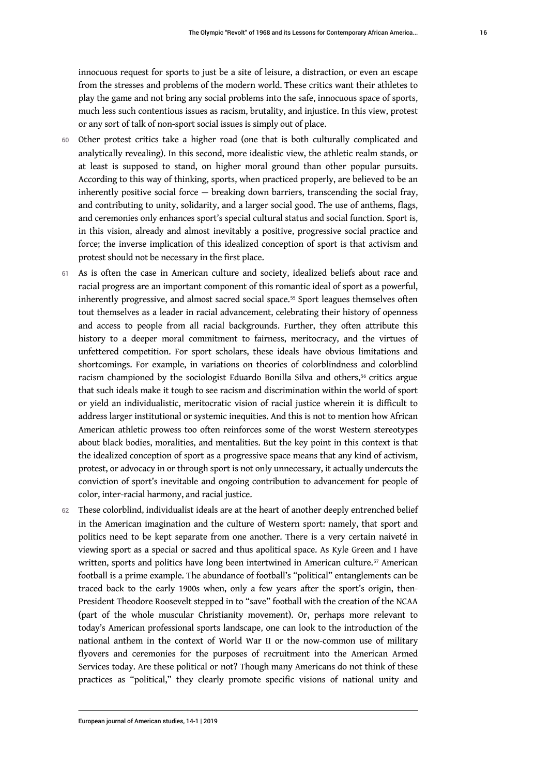innocuous request for sports to just be a site of leisure, a distraction, or even an escape from the stresses and problems of the modern world. These critics want their athletes to play the game and not bring any social problems into the safe, innocuous space of sports, much less such contentious issues as racism, brutality, and injustice. In this view, protest or any sort of talk of non-sport social issues is simply out of place.

- 60 Other protest critics take a higher road (one that is both culturally complicated and analytically revealing). In this second, more idealistic view, the athletic realm stands, or at least is supposed to stand, on higher moral ground than other popular pursuits. According to this way of thinking, sports, when practiced properly, are believed to be an inherently positive social force  $-$  breaking down barriers, transcending the social fray, and contributing to unity, solidarity, and a larger social good. The use of anthems, flags, and ceremonies only enhances sport's special cultural status and social function. Sport is, in this vision, already and almost inevitably a positive, progressive social practice and force; the inverse implication of this idealized conception of sport is that activism and protest should not be necessary in the first place.
- <span id="page-16-1"></span><span id="page-16-0"></span>61 As is often the case in American culture and society, idealized beliefs about race and racial progress are an important component of this romantic ideal of sport as a powerful, inherently progressive, and almost sacred social space.<sup>[55](#page-23-17)</sup> Sport leagues themselves often tout themselves as a leader in racial advancement, celebrating their history of openness and access to people from all racial backgrounds. Further, they often attribute this history to a deeper moral commitment to fairness, meritocracy, and the virtues of unfettered competition. For sport scholars, these ideals have obvious limitations and shortcomings. For example, in variations on theories of colorblindness and colorblind racism championed by the sociologist Eduardo Bonilla Silva and others,<sup>[56](#page-23-18)</sup> critics argue that such ideals make it tough to see racism and discrimination within the world of sport or yield an individualistic, meritocratic vision of racial justice wherein it is difficult to address larger institutional or systemic inequities. And this is not to mention how African American athletic prowess too often reinforces some of the worst Western stereotypes about black bodies, moralities, and mentalities. But the key point in this context is that the idealized conception of sport as a progressive space means that any kind of activism, protest, or advocacy in or through sport is not only unnecessary, it actually undercuts the conviction of sport's inevitable and ongoing contribution to advancement for people of color, inter-racial harmony, and racial justice.
- <span id="page-16-2"></span>62 These colorblind, individualist ideals are at the heart of another deeply entrenched belief in the American imagination and the culture of Western sport: namely, that sport and politics need to be kept separate from one another. There is a very certain naiveté in viewing sport as a special or sacred and thus apolitical space. As Kyle Green and I have written, sports and politics have long been intertwined in American culture.<sup>[57](#page-24-0)</sup> American football is a prime example. The abundance of football's "political" entanglements can be traced back to the early 1900s when, only a few years after the sport's origin, then-President Theodore Roosevelt stepped in to "save" football with the creation of the NCAA (part of the whole muscular Christianity movement). Or, perhaps more relevant to today's American professional sports landscape, one can look to the introduction of the national anthem in the context of World War II or the now-common use of military flyovers and ceremonies for the purposes of recruitment into the American Armed Services today. Are these political or not? Though many Americans do not think of these practices as "political," they clearly promote specific visions of national unity and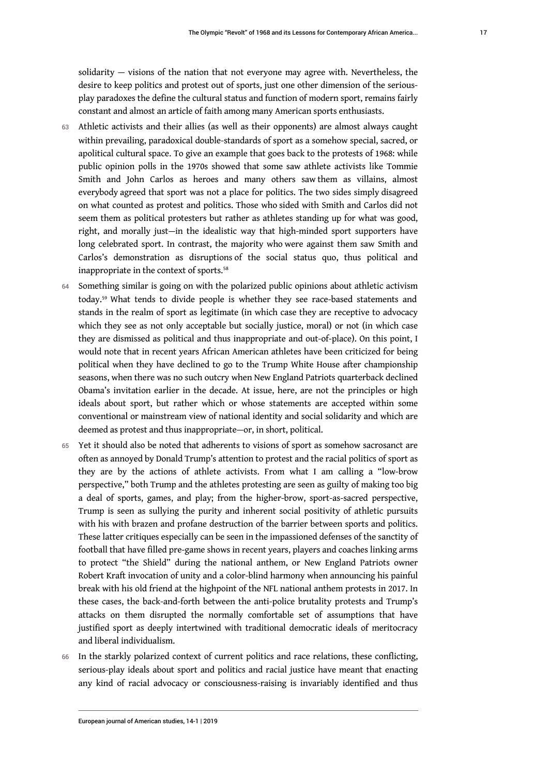solidarity — visions of the nation that not everyone may agree with. Nevertheless, the desire to keep politics and protest out of sports, just one other dimension of the seriousplay paradoxes the define the cultural status and function of modern sport, remains fairly constant and almost an article of faith among many American sports enthusiasts.

- 63 Athletic activists and their allies (as well as their opponents) are almost always caught within prevailing, paradoxical double-standards of sport as a somehow special, sacred, or apolitical cultural space. To give an example that goes back to the protests of 1968: while public opinion polls in the 1970s showed that some saw athlete activists like Tommie Smith and John Carlos as heroes and many others saw them as villains, almost everybody agreed that sport was not a place for politics. The two sides simply disagreed on what counted as protest and politics. Those who sided with Smith and Carlos did not seem them as political protesters but rather as athletes standing up for what was good, right, and morally just—in the idealistic way that high-minded sport supporters have long celebrated sport. In contrast, the majority who were against them saw Smith and Carlos's demonstration as disruptions of the social status quo, thus political and inappropriate in the context of sports.<sup>[58](#page-24-1)</sup>
- <span id="page-17-1"></span><span id="page-17-0"></span>64 Something similar is going on with the polarized public opinions about athletic activism today.[59](#page-24-2) What tends to divide people is whether they see race-based statements and stands in the realm of sport as legitimate (in which case they are receptive to advocacy which they see as not only acceptable but socially justice, moral) or not (in which case they are dismissed as political and thus inappropriate and out-of-place). On this point, I would note that in recent years African American athletes have been criticized for being political when they have declined to go to the Trump White House after championship seasons, when there was no such outcry when New England Patriots quarterback declined Obama's invitation earlier in the decade. At issue, here, are not the principles or high ideals about sport, but rather which or whose statements are accepted within some conventional or mainstream view of national identity and social solidarity and which are deemed as protest and thus inappropriate—or, in short, political.
- 65 Yet it should also be noted that adherents to visions of sport as somehow sacrosanct are often as annoyed by Donald Trump's attention to protest and the racial politics of sport as they are by the actions of athlete activists. From what I am calling a "low-brow perspective," both Trump and the athletes protesting are seen as guilty of making too big a deal of sports, games, and play; from the higher-brow, sport-as-sacred perspective, Trump is seen as sullying the purity and inherent social positivity of athletic pursuits with his with brazen and profane destruction of the barrier between sports and politics. These latter critiques especially can be seen in the impassioned defenses of the sanctity of football that have filled pre-game shows in recent years, players and coaches linking arms to protect "the Shield" during the national anthem, or New England Patriots owner Robert Kraft invocation of unity and a color-blind harmony when announcing his painful break with his old friend at the highpoint of the NFL national anthem protests in 2017. In these cases, the back-and-forth between the anti-police brutality protests and Trump's attacks on them disrupted the normally comfortable set of assumptions that have justified sport as deeply intertwined with traditional democratic ideals of meritocracy and liberal individualism.
- 66 In the starkly polarized context of current politics and race relations, these conflicting, serious-play ideals about sport and politics and racial justice have meant that enacting any kind of racial advocacy or consciousness-raising is invariably identified and thus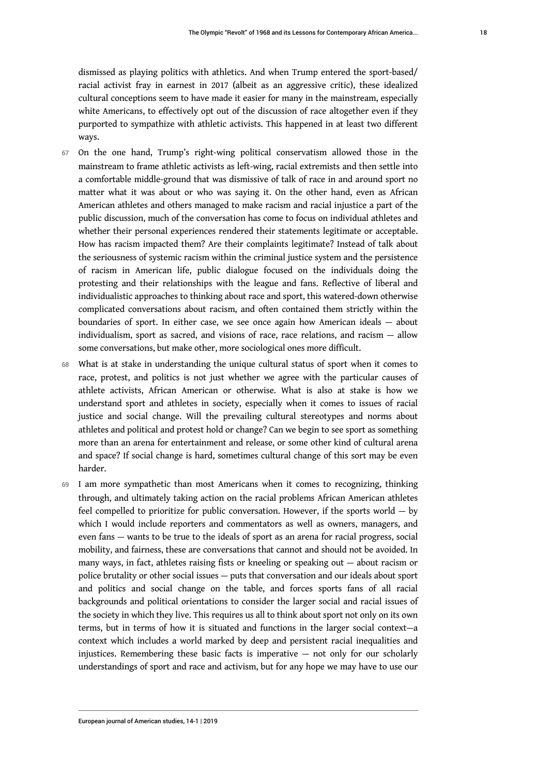dismissed as playing politics with athletics. And when Trump entered the sport-based/ racial activist fray in earnest in 2017 (albeit as an aggressive critic), these idealized cultural conceptions seem to have made it easier for many in the mainstream, especially white Americans, to effectively opt out of the discussion of race altogether even if they purported to sympathize with athletic activists. This happened in at least two different ways.

- 67 On the one hand, Trump's right-wing political conservatism allowed those in the mainstream to frame athletic activists as left-wing, racial extremists and then settle into a comfortable middle-ground that was dismissive of talk of race in and around sport no matter what it was about or who was saying it. On the other hand, even as African American athletes and others managed to make racism and racial injustice a part of the public discussion, much of the conversation has come to focus on individual athletes and whether their personal experiences rendered their statements legitimate or acceptable. How has racism impacted them? Are their complaints legitimate? Instead of talk about the seriousness of systemic racism within the criminal justice system and the persistence of racism in American life, public dialogue focused on the individuals doing the protesting and their relationships with the league and fans. Reflective of liberal and individualistic approaches to thinking about race and sport, this watered-down otherwise complicated conversations about racism, and often contained them strictly within the boundaries of sport. In either case, we see once again how American ideals — about individualism, sport as sacred, and visions of race, race relations, and racism — allow some conversations, but make other, more sociological ones more difficult.
- 68 What is at stake in understanding the unique cultural status of sport when it comes to race, protest, and politics is not just whether we agree with the particular causes of athlete activists, African American or otherwise. What is also at stake is how we understand sport and athletes in society, especially when it comes to issues of racial justice and social change. Will the prevailing cultural stereotypes and norms about athletes and political and protest hold or change? Can we begin to see sport as something more than an arena for entertainment and release, or some other kind of cultural arena and space? If social change is hard, sometimes cultural change of this sort may be even harder.
- 69 I am more sympathetic than most Americans when it comes to recognizing, thinking through, and ultimately taking action on the racial problems African American athletes feel compelled to prioritize for public conversation. However, if the sports world — by which I would include reporters and commentators as well as owners, managers, and even fans — wants to be true to the ideals of sport as an arena for racial progress, social mobility, and fairness, these are conversations that cannot and should not be avoided. In many ways, in fact, athletes raising fists or kneeling or speaking out — about racism or police brutality or other social issues — puts that conversation and our ideals about sport and politics and social change on the table, and forces sports fans of all racial backgrounds and political orientations to consider the larger social and racial issues of the society in which they live. This requires us all to think about sport not only on its own terms, but in terms of how it is situated and functions in the larger social context—a context which includes a world marked by deep and persistent racial inequalities and injustices. Remembering these basic facts is imperative — not only for our scholarly understandings of sport and race and activism, but for any hope we may have to use our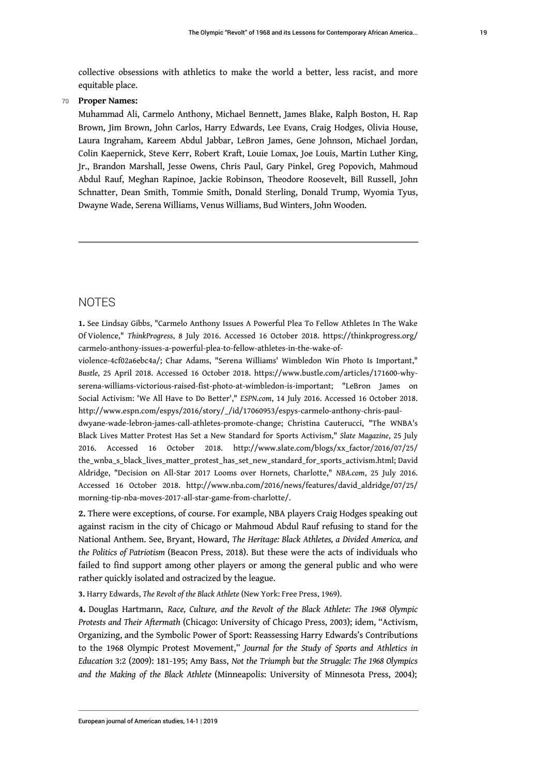collective obsessions with athletics to make the world a better, less racist, and more equitable place.

#### 70 **Proper Names:**

Muhammad Ali, Carmelo Anthony, Michael Bennett, James Blake, Ralph Boston, H. Rap Brown, Jim Brown, John Carlos, Harry Edwards, Lee Evans, Craig Hodges, Olivia House, Laura Ingraham, Kareem Abdul Jabbar, LeBron James, Gene Johnson, Michael Jordan, Colin Kaepernick, Steve Kerr, Robert Kraft, Louie Lomax, Joe Louis, Martin Luther King, Jr., Brandon Marshall, Jesse Owens, Chris Paul, Gary Pinkel, Greg Popovich, Mahmoud Abdul Rauf, Meghan Rapinoe, Jackie Robinson, Theodore Roosevelt, Bill Russell, John Schnatter, Dean Smith, Tommie Smith, Donald Sterling, Donald Trump, Wyomia Tyus, Dwayne Wade, Serena Williams, Venus Williams, Bud Winters, John Wooden.

### NOTES

<span id="page-19-0"></span>**[1.](#page-1-0)** See Lindsay Gibbs, "Carmelo Anthony Issues A Powerful Plea To Fellow Athletes In The Wake Of Violence," *ThinkProgress*, 8 July 2016. Accessed 16 October 2018. [https://thinkprogress.org/](https://thinkprogress.org/carmelo-anthony-issues-a-powerful-plea-to-fellow-athletes-in-the-wake-of-violence-4cf02a6ebc4a/) [carmelo-anthony-issues-a-powerful-plea-to-fellow-athletes-in-the-wake-of-](https://thinkprogress.org/carmelo-anthony-issues-a-powerful-plea-to-fellow-athletes-in-the-wake-of-violence-4cf02a6ebc4a/)

[violence-4cf02a6ebc4a/;](https://thinkprogress.org/carmelo-anthony-issues-a-powerful-plea-to-fellow-athletes-in-the-wake-of-violence-4cf02a6ebc4a/) Char Adams, "Serena Williams' Wimbledon Win Photo Is Important," *Bustle*, 25 April 2018. Accessed 16 October 2018. [https://www.bustle.com/articles/171600-why](https://www.bustle.com/articles/171600-why-serena-williams-victorious-raised-fist-photo-at-wimbledon-is-important)[serena-williams-victorious-raised-fist-photo-at-wimbledon-is-important](https://www.bustle.com/articles/171600-why-serena-williams-victorious-raised-fist-photo-at-wimbledon-is-important); "LeBron James on Social Activism: 'We All Have to Do Better'," *ESPN.com*, 14 July 2016. Accessed 16 October 2018. [http://www.espn.com/espys/2016/story/\\_/id/17060953/espys-carmelo-anthony-chris-paul-](http://www.espn.com/espys/2016/story/_/id/17060953/espys-carmelo-anthony-chris-paul-dwyane-wade-lebron-james-call-athletes-promote-change)

[dwyane-wade-lebron-james-call-athletes-promote-change;](http://www.espn.com/espys/2016/story/_/id/17060953/espys-carmelo-anthony-chris-paul-dwyane-wade-lebron-james-call-athletes-promote-change) Christina Cauterucci, "The WNBA's Black Lives Matter Protest Has Set a New Standard for Sports Activism," *Slate Magazine*, 25 July 2016. Accessed 16 October 2018. [http://www.slate.com/blogs/xx\\_factor/2016/07/25/](http://www.slate.com/blogs/xx_factor/2016/07/25/the_wnba_s_black_lives_matter_protest_has_set_new_standard_for_sports_activism.html) [the\\_wnba\\_s\\_black\\_lives\\_matter\\_protest\\_has\\_set\\_new\\_standard\\_for\\_sports\\_activism.html;](http://www.slate.com/blogs/xx_factor/2016/07/25/the_wnba_s_black_lives_matter_protest_has_set_new_standard_for_sports_activism.html) David Aldridge, "Decision on All-Star 2017 Looms over Hornets, Charlotte," *NBA.com*, 25 July 2016. Accessed 16 October 2018. [http://www.nba.com/2016/news/features/david\\_aldridge/07/25/](http://www.nba.com/2016/news/features/david_aldridge/07/25/morning-tip-nba-moves-2017-all-star-game-from-charlotte/) [morning-tip-nba-moves-2017-all-star-game-from-charlotte/.](http://www.nba.com/2016/news/features/david_aldridge/07/25/morning-tip-nba-moves-2017-all-star-game-from-charlotte/)

<span id="page-19-1"></span>**[2.](#page-2-0)** There were exceptions, of course. For example, NBA players Craig Hodges speaking out against racism in the city of Chicago or Mahmoud Abdul Rauf refusing to stand for the National Anthem. See, Bryant, Howard, *The Heritage: Black Athletes, a Divided America, and the Politics of Patriotism* (Beacon Press, 2018). But these were the acts of individuals who failed to find support among other players or among the general public and who were rather quickly isolated and ostracized by the league.

<span id="page-19-2"></span>**[3.](#page-2-1)** Harry Edwards, *The Revolt of the Black Athlete* (New York: Free Press, 1969).

<span id="page-19-3"></span>**[4.](#page-2-2)** Douglas Hartmann, *Race, Culture, and the Revolt of the Black Athlete: The 1968 Olympic Protests and Their Aftermath* (Chicago: University of Chicago Press, 2003); idem, "Activism, Organizing, and the Symbolic Power of Sport: Reassessing Harry Edwards's Contributions to the 1968 Olympic Protest Movement," *Journal for the Study of Sports and Athletics in Education* 3:2 (2009): 181-195; Amy Bass, *Not the Triumph but the Struggle: The 1968 Olympics and the Making of the Black Athlete* (Minneapolis: University of Minnesota Press, 2004);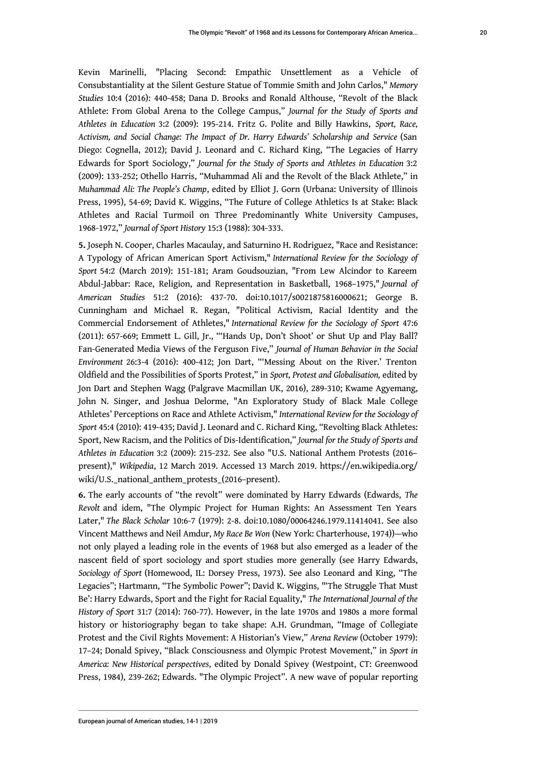Kevin Marinelli, "Placing Second: Empathic Unsettlement as a Vehicle of Consubstantiality at the Silent Gesture Statue of Tommie Smith and John Carlos," *Memory Studies* 10:4 (2016): 440-458; Dana D. Brooks and Ronald Althouse, "Revolt of the Black Athlete: From Global Arena to the College Campus," *Journal for the Study of Sports and Athletes in Education* 3:2 (2009): 195-214. Fritz G. Polite and Billy Hawkins, *Sport, Race, Activism, and Social Change: The Impact of Dr. Harry Edwards' Scholarship and Service* (San Diego: Cognella, 2012); David J. Leonard and C. Richard King, "The Legacies of Harry Edwards for Sport Sociology," *Journal for the Study of Sports and Athletes in Education* 3:2 (2009): 133-252; Othello Harris, "Muhammad Ali and the Revolt of the Black Athlete," in *Muhammad Ali: The People's Champ*, edited by Elliot J. Gorn (Urbana: University of Illinois Press, 1995), 54-69; David K. Wiggins, "The Future of College Athletics Is at Stake: Black Athletes and Racial Turmoil on Three Predominantly White University Campuses, 1968-1972," *Journal of Sport History* 15:3 (1988): 304-333.

<span id="page-20-0"></span>**[5.](#page-2-3)** Joseph N. Cooper, Charles Macaulay, and Saturnino H. Rodriguez, "Race and Resistance: A Typology of African American Sport Activism," *International Review for the Sociology of Sport* 54:2 (March 2019): 151-181; Aram Goudsouzian, "From Lew Alcindor to Kareem Abdul-Jabbar: Race, Religion, and Representation in Basketball, 1968–1975," *Journal of American Studies* 51:2 (2016): 437-70. doi:10.1017/s0021875816000621; George B. Cunningham and Michael R. Regan, "Political Activism, Racial Identity and the Commercial Endorsement of Athletes," *International Review for the Sociology of Sport* 47:6 (2011): 657-669; Emmett L. Gill, Jr., "'Hands Up, Don't Shoot' or Shut Up and Play Ball? Fan-Generated Media Views of the Ferguson Five," *Journal of Human Behavior in the Social Environment* 26:3-4 (2016): 400-412; Jon Dart, "'Messing About on the River.' Trenton Oldfield and the Possibilities of Sports Protest," in *Sport, Protest and Globalisation,* edited by Jon Dart and Stephen Wagg (Palgrave Macmillan UK, 2016), 289-310; Kwame Agyemang, John N. Singer, and Joshua Delorme, "An Exploratory Study of Black Male College Athletes' Perceptions on Race and Athlete Activism," *International Review for the Sociology of Sport* 45:4 (2010): 419-435; David J. Leonard and C. Richard King, "Revolting Black Athletes: Sport, New Racism, and the Politics of Dis-Identification," *Journal for the Study of Sports and Athletes in Education* 3:2 (2009): 215-232. See also "U.S. National Anthem Protests (2016– present)," *Wikipedia*, 12 March 2019. Accessed 13 March 2019. https://en.wikipedia.org/ wiki/U.S.\_national\_anthem\_protests\_(2016–present).

<span id="page-20-1"></span>**[6.](#page-3-0)** The early accounts of "the revolt" were dominated by Harry Edwards (Edwards, *The Revolt* and idem, "The Olympic Project for Human Rights: An Assessment Ten Years Later," *The Black Scholar* 10:6-7 (1979): 2-8. doi:10.1080/00064246.1979.11414041. See also Vincent Matthews and Neil Amdur, *My Race Be Won* (New York: Charterhouse, 1974))—who not only played a leading role in the events of 1968 but also emerged as a leader of the nascent field of sport sociology and sport studies more generally (see Harry Edwards, *Sociology of Sport* (Homewood, IL: Dorsey Press, 1973). See also Leonard and King, "The Legacies"; Hartmann, "The Symbolic Power"; David K. Wiggins, "'The Struggle That Must Be': Harry Edwards, Sport and the Fight for Racial Equality," *The International Journal of the History of Sport* 31:7 (2014): 760-77). However, in the late 1970s and 1980s a more formal history or historiography began to take shape: A.H. Grundman, "Image of Collegiate Protest and the Civil Rights Movement: A Historian's View," *Arena Review* (October 1979): 17–24; Donald Spivey, "Black Consciousness and Olympic Protest Movement," in *Sport in America: New Historical perspectives*, edited by Donald Spivey (Westpoint, CT: Greenwood Press, 1984), 239-262; Edwards. "The Olympic Project". A new wave of popular reporting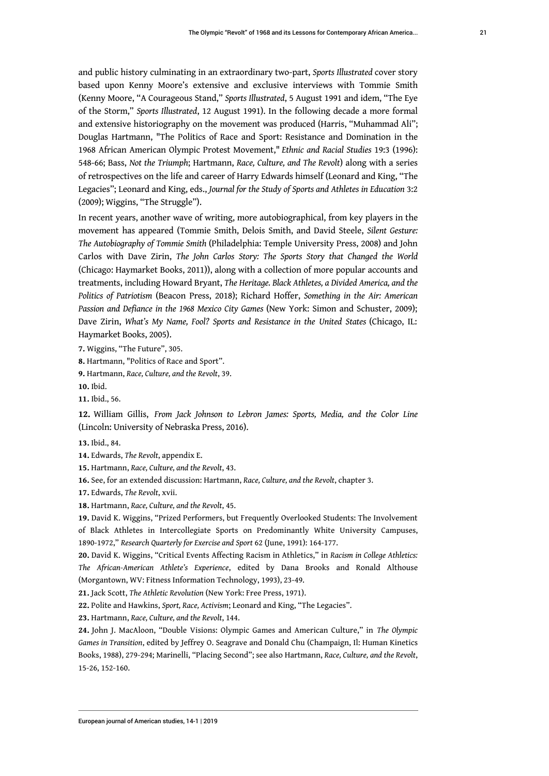and public history culminating in an extraordinary two-part, *Sports Illustrated* cover story based upon Kenny Moore's extensive and exclusive interviews with Tommie Smith (Kenny Moore, "A Courageous Stand," *Sports Illustrated*, 5 August 1991 and idem, "The Eye of the Storm," *Sports Illustrated*, 12 August 1991). In the following decade a more formal and extensive historiography on the movement was produced (Harris, "Muhammad Ali"; Douglas Hartmann, "The Politics of Race and Sport: Resistance and Domination in the 1968 African American Olympic Protest Movement," *Ethnic and Racial Studies* 19:3 (1996): 548-66; Bass, *Not the Triumph*; Hartmann, *Race, Culture, and The Revolt*) along with a series of retrospectives on the life and career of Harry Edwards himself (Leonard and King, "The Legacies"; Leonard and King, eds., *Journal for the Study of Sports and Athletes in Education* 3:2 (2009); Wiggins, "The Struggle").

In recent years, another wave of writing, more autobiographical, from key players in the movement has appeared (Tommie Smith, Delois Smith, and David Steele, *Silent Gesture: The Autobiography of Tommie Smith* (Philadelphia: Temple University Press, 2008) and John Carlos with Dave Zirin, *The John Carlos Story: The Sports Story that Changed the World* (Chicago: Haymarket Books, 2011)), along with a collection of more popular accounts and treatments, including Howard Bryant, *The Heritage. Black Athletes, a Divided America, and the Politics of Patriotism* (Beacon Press, 2018); Richard Hoffer, *Something in the Air: American Passion and Defiance in the 1968 Mexico City Games* (New York: Simon and Schuster, 2009); Dave Zirin, *What's My Name, Fool? Sports and Resistance in the United States* (Chicago, IL: Haymarket Books, 2005).

<span id="page-21-0"></span>**[7.](#page-3-1)** Wiggins, "The Future", 305.

<span id="page-21-1"></span>**[8.](#page-4-0)** Hartmann, "Politics of Race and Sport".

<span id="page-21-2"></span>**[9.](#page-4-1)** Hartmann, *Race, Culture, and the Revolt*, 39.

<span id="page-21-3"></span>**[10.](#page-4-2)** Ibid.

<span id="page-21-4"></span>**[11.](#page-4-3)** Ibid., 56.

<span id="page-21-5"></span>**[12.](#page-5-0)** William Gillis, *From Jack Johnson to Lebron James: Sports, Media, and the Color Line* (Lincoln: University of Nebraska Press, 2016).

<span id="page-21-6"></span>**[13.](#page-5-1)** Ibid., 84.

<span id="page-21-7"></span>**[14.](#page-5-2)** Edwards, *The Revolt*, appendix E.

<span id="page-21-8"></span>**[15.](#page-5-3)** Hartmann, *Race, Culture, and the Revolt*, 43.

<span id="page-21-9"></span>**[16.](#page-5-4)** See, for an extended discussion: Hartmann, *Race, Culture, and the Revolt*, chapter 3.

<span id="page-21-10"></span>**[17.](#page-6-0)** Edwards, *The Revolt*, xvii.

<span id="page-21-11"></span>**[18.](#page-6-1)** Hartmann, *Race, Culture, and the Revolt*, 45.

<span id="page-21-12"></span>**[19.](#page-6-2)** David K. Wiggins, "Prized Performers, but Frequently Overlooked Students: The Involvement of Black Athletes in Intercollegiate Sports on Predominantly White University Campuses, 1890-1972," *Research Quarterly for Exercise and Sport* 62 (June, 1991): 164-177.

<span id="page-21-13"></span>**[20.](#page-6-3)** David K. Wiggins, "Critical Events Affecting Racism in Athletics," in *Racism in College Athletics: The African-American Athlete's Experience*, edited by Dana Brooks and Ronald Althouse (Morgantown, WV: Fitness Information Technology, 1993), 23-49.

<span id="page-21-14"></span>**[21.](#page-6-4)** Jack Scott, *The Athletic Revolution* (New York: Free Press, 1971).

<span id="page-21-15"></span>**[22.](#page-7-0)** Polite and Hawkins, *Sport, Race, Activism*; Leonard and King, "The Legacies".

<span id="page-21-16"></span>**[23.](#page-7-1)** Hartmann, *Race, Culture, and the Revolt*, 144.

<span id="page-21-17"></span>**[24.](#page-7-2)** John J. MacAloon, "Double Visions: Olympic Games and American Culture," in *The Olympic Games in Transition*, edited by Jeffrey O. Seagrave and Donald Chu (Champaign, Il: Human Kinetics Books, 1988), 279-294; Marinelli, "Placing Second"; see also Hartmann, *Race, Culture, and the Revolt*, 15-26, 152-160.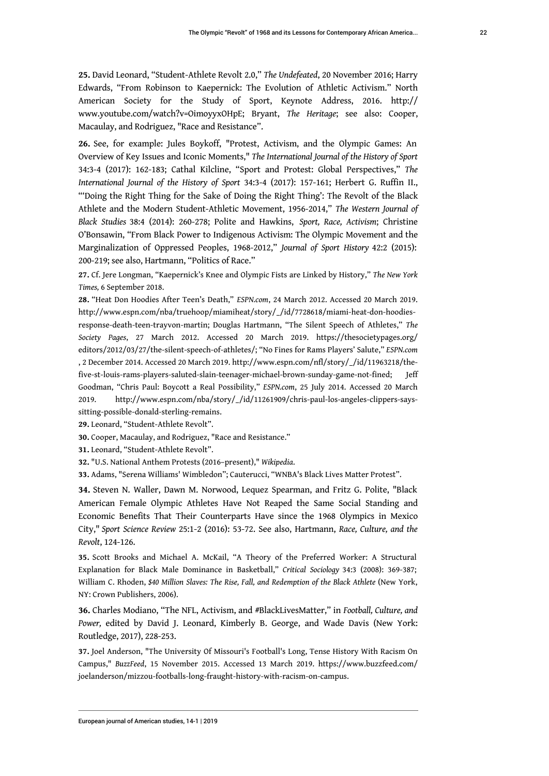<span id="page-22-0"></span>**[25.](#page-8-0)** David Leonard, "Student-Athlete Revolt 2.0," *The Undefeated*, 20 November 2016; Harry Edwards, "From Robinson to Kaepernick: The Evolution of Athletic Activism." North American Society for the Study of Sport, Keynote Address, 2016. [http://](http://www.youtube.com/watch?v=OimoyyxOHpE) [www.youtube.com/watch?v=OimoyyxOHpE;](http://www.youtube.com/watch?v=OimoyyxOHpE) Bryant, *The Heritage*; see also: Cooper, Macaulay, and Rodriguez, "Race and Resistance".

<span id="page-22-1"></span>**[26.](#page-8-1)** See, for example: Jules Boykoff, "Protest, Activism, and the Olympic Games: An Overview of Key Issues and Iconic Moments," *The International Journal of the History of Sport* 34:3-4 (2017): 162-183; Cathal Kilcline, "Sport and Protest: Global Perspectives," *The International Journal of the History of Sport* 34:3-4 (2017): 157-161; Herbert G. Ruffin II., "'Doing the Right Thing for the Sake of Doing the Right Thing': The Revolt of the Black Athlete and the Modern Student-Athletic Movement, 1956-2014," *The Western Journal of Black Studies* 38:4 (2014): 260-278; Polite and Hawkins, *Sport, Race, Activism*; Christine O'Bonsawin, "From Black Power to Indigenous Activism: The Olympic Movement and the Marginalization of Oppressed Peoples, 1968-2012," *Journal of Sport History* 42:2 (2015): 200-219; see also, Hartmann, "Politics of Race."

<span id="page-22-2"></span>**[27.](#page-8-2)** Cf. Jere Longman, "Kaepernick's Knee and Olympic Fists are Linked by History," *The New York Times,* 6 September 2018.

<span id="page-22-3"></span>**[28.](#page-9-0)** "Heat Don Hoodies After Teen's Death," *ESPN.com*, 24 March 2012. Accessed 20 March 2019. [http://www.espn.com/nba/truehoop/miamiheat/story/\\_/id/7728618/miami-heat-don-hoodies](http://www.espn.com/nba/truehoop/miamiheat/story/_/id/7728618/miami-heat-don-hoodies-response-death-teen-trayvon-martin)[response-death-teen-trayvon-martin](http://www.espn.com/nba/truehoop/miamiheat/story/_/id/7728618/miami-heat-don-hoodies-response-death-teen-trayvon-martin); Douglas Hartmann, "The Silent Speech of Athletes," *The Society Pages*, 27 March 2012. Accessed 20 March 2019. [https://thesocietypages.org/](https://thesocietypages.org/editors/2012/03/27/the-silent-speech-of-athletes/) [editors/2012/03/27/the-silent-speech-of-athletes/;](https://thesocietypages.org/editors/2012/03/27/the-silent-speech-of-athletes/) "No Fines for Rams Players' Salute," *ESPN.com* , 2 December 2014. Accessed 20 March 2019. [http://www.espn.com/nfl/story/\\_/id/11963218/the](http://www.espn.com/nfl/story/_/id/11963218/the-five-st-louis-rams-players-saluted-slain-teenager-michael-brown-sunday-game-not-fined)[five-st-louis-rams-players-saluted-slain-teenager-michael-brown-sunday-game-not-fined](http://www.espn.com/nfl/story/_/id/11963218/the-five-st-louis-rams-players-saluted-slain-teenager-michael-brown-sunday-game-not-fined); Jeff Goodman, "Chris Paul: Boycott a Real Possibility," *ESPN.com*, 25 July 2014. Accessed 20 March 2019. [http://www.espn.com/nba/story/\\_/id/11261909/chris-paul-los-angeles-clippers-says](http://www.espn.com/nba/story/_/id/11261909/chris-paul-los-angeles-clippers-says-sitting-possible-donald-sterling-remains)[sitting-possible-donald-sterling-remains](http://www.espn.com/nba/story/_/id/11261909/chris-paul-los-angeles-clippers-says-sitting-possible-donald-sterling-remains).

<span id="page-22-4"></span>**[29.](#page-9-1)** Leonard, "Student-Athlete Revolt".

<span id="page-22-5"></span>**[30.](#page-9-2)** Cooper, Macaulay, and Rodriguez, "Race and Resistance."

<span id="page-22-6"></span>**[31.](#page-9-3)** Leonard, "Student-Athlete Revolt".

<span id="page-22-7"></span>**[32.](#page-9-4)** "U.S. National Anthem Protests (2016–present)," *Wikipedia*.

<span id="page-22-8"></span>**[33.](#page-10-0)** Adams, "Serena Williams' Wimbledon"; Cauterucci, "WNBA's Black Lives Matter Protest".

<span id="page-22-9"></span>**[34.](#page-10-1)** Steven N. Waller, Dawn M. Norwood, Lequez Spearman, and Fritz G. Polite, "Black American Female Olympic Athletes Have Not Reaped the Same Social Standing and Economic Benefits That Their Counterparts Have since the 1968 Olympics in Mexico City," *Sport Science Review* 25:1-2 (2016): 53-72. See also, Hartmann, *Race, Culture, and the Revolt*, 124-126.

<span id="page-22-10"></span>**[35.](#page-10-2)** Scott Brooks and Michael A. McKail, "A Theory of the Preferred Worker: A Structural Explanation for Black Male Dominance in Basketball," *Critical Sociology* 34:3 (2008): 369-387; William C. Rhoden, \$40 Million Slaves: The Rise, Fall, and Redemption of the Black Athlete (New York, NY: Crown Publishers, 2006).

<span id="page-22-11"></span>**[36.](#page-11-0)** Charles Modiano, "The NFL, Activism, and #BlackLivesMatter," in *Football, Culture, and Power,* edited by David J. Leonard, Kimberly B. George, and Wade Davis (New York: Routledge, 2017), 228-253.

<span id="page-22-12"></span>**[37.](#page-11-1)** Joel Anderson, "The University Of Missouri's Football's Long, Tense History With Racism On Campus," *BuzzFeed*, 15 November 2015. Accessed 13 March 2019. [https://www.buzzfeed.com/](https://www.buzzfeed.com/joelanderson/mizzou-footballs-long-fraught-history-with-racism-on-campus) [joelanderson/mizzou-footballs-long-fraught-history-with-racism-on-campus.](https://www.buzzfeed.com/joelanderson/mizzou-footballs-long-fraught-history-with-racism-on-campus)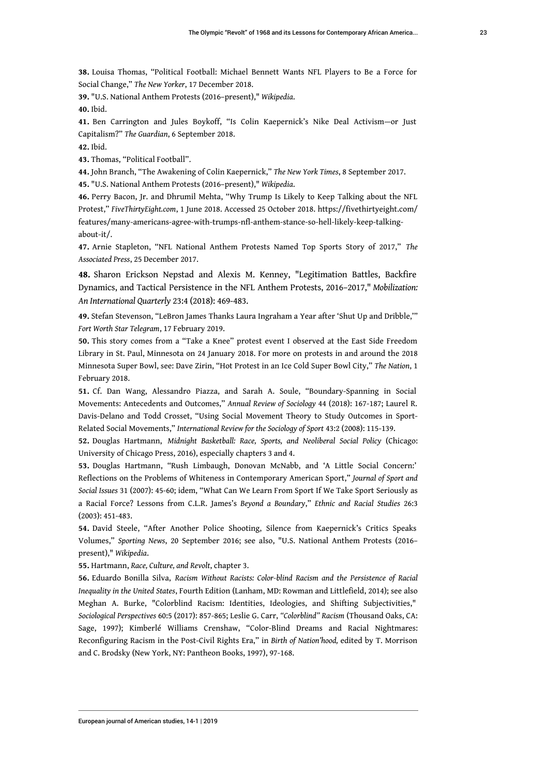<span id="page-23-0"></span>**[38.](#page-11-2)** Louisa Thomas, "Political Football: Michael Bennett Wants NFL Players to Be a Force for Social Change," *The New Yorker*, 17 December 2018.

<span id="page-23-1"></span>**[39.](#page-12-0)** "U.S. National Anthem Protests (2016–present)," *Wikipedia*.

<span id="page-23-2"></span>**[40.](#page-12-1)** Ibid.

<span id="page-23-3"></span>**[41.](#page-12-2)** Ben Carrington and Jules Boykoff, "Is Colin Kaepernick's Nike Deal Activism—or Just Capitalism?" *The Guardian*, 6 September 2018.

<span id="page-23-4"></span>**[42.](#page-12-3)** Ibid.

<span id="page-23-5"></span>**[43.](#page-12-4)** Thomas, "Political Football".

<span id="page-23-6"></span>**[44.](#page-12-5)** John Branch, "The Awakening of Colin Kaepernick," *The New York Times*, 8 September 2017.

<span id="page-23-7"></span>**[45.](#page-13-0)** "U.S. National Anthem Protests (2016–present)," *Wikipedia*.

<span id="page-23-8"></span>**[46.](#page-13-1)** Perry Bacon, Jr. and Dhrumil Mehta, "Why Trump Is Likely to Keep Talking about the NFL Protest," *FiveThirtyEight.com*, 1 June 2018. Accessed 25 October 2018. [https://fivethirtyeight.com/](https://fivethirtyeight.com/features/many-americans-agree-with-trumps-nfl-anthem-stance-so-hell-likely-keep-talking-about-it/) [features/many-americans-agree-with-trumps-nfl-anthem-stance-so-hell-likely-keep-talking](https://fivethirtyeight.com/features/many-americans-agree-with-trumps-nfl-anthem-stance-so-hell-likely-keep-talking-about-it/)[about-it/.](https://fivethirtyeight.com/features/many-americans-agree-with-trumps-nfl-anthem-stance-so-hell-likely-keep-talking-about-it/)

<span id="page-23-9"></span>**[47.](#page-13-2)** Arnie Stapleton, "NFL National Anthem Protests Named Top Sports Story of 2017," *The Associated Press*, 25 December 2017.

<span id="page-23-10"></span>**[48.](#page-13-3)** Sharon Erickson Nepstad and Alexis M. Kenney, "Legitimation Battles, Backfire Dynamics, and Tactical Persistence in the NFL Anthem Protests, 2016–2017," *Mobilization: An International Quarterly* 23:4 (2018): 469-483.

<span id="page-23-11"></span>**[49.](#page-14-0)** Stefan Stevenson, "LeBron James Thanks Laura Ingraham a Year after 'Shut Up and Dribble,'" *Fort Worth Star Telegram*, 17 February 2019.

<span id="page-23-12"></span>**[50.](#page-14-1)** This story comes from a "Take a Knee" protest event I observed at the East Side Freedom Library in St. Paul, Minnesota on 24 January 2018. For more on protests in and around the 2018 Minnesota Super Bowl, see: Dave Zirin, "Hot Protest in an Ice Cold Super Bowl City," *The Nation*, 1 February 2018.

<span id="page-23-13"></span>**[51.](#page-15-0)** Cf. Dan Wang, Alessandro Piazza, and Sarah A. Soule, "Boundary-Spanning in Social Movements: Antecedents and Outcomes," *Annual Review of Sociology* 44 (2018): 167-187; Laurel R. Davis-Delano and Todd Crosset, "Using Social Movement Theory to Study Outcomes in Sport-Related Social Movements," *International Review for the Sociology of Sport* 43:2 (2008): 115-139.

<span id="page-23-14"></span>**[52.](#page-15-1)** Douglas Hartmann, *Midnight Basketball: Race, Sports, and Neoliberal Social Policy* (Chicago: University of Chicago Press, 2016), especially chapters 3 and 4.

<span id="page-23-15"></span>**[53.](#page-15-2)** Douglas Hartmann, "Rush Limbaugh, Donovan McNabb, and 'A Little Social Concern:' Reflections on the Problems of Whiteness in Contemporary American Sport," *Journal of Sport and Social Issues* 31 (2007): 45-60; idem, "What Can We Learn From Sport If We Take Sport Seriously as a Racial Force? Lessons from C.L.R. James's *Beyond a Boundary*," *Ethnic and Racial Studies* 26:3 (2003): 451-483.

<span id="page-23-16"></span>**[54.](#page-15-3)** David Steele, "After Another Police Shooting, Silence from Kaepernick's Critics Speaks Volumes," *Sporting News*, 20 September 2016; see also, "U.S. National Anthem Protests (2016– present)," *Wikipedia*.

<span id="page-23-17"></span>**[55.](#page-16-0)** Hartmann, *Race, Culture, and Revolt*, chapter 3.

<span id="page-23-18"></span>**[56.](#page-16-1)** Eduardo Bonilla Silva, *Racism Without Racists: Color-blind Racism and the Persistence of Racial Inequality in the United States*, Fourth Edition (Lanham, MD: Rowman and Littlefield, 2014); see also Meghan A. Burke, "Colorblind Racism: Identities, Ideologies, and Shifting Subjectivities," *Sociological Perspectives* 60:5 (2017): 857-865; Leslie G. Carr, *"Colorblind" Racism* (Thousand Oaks, CA: Sage, 1997); Kimberlé Williams Crenshaw, "Color-Blind Dreams and Racial Nightmares: Reconfiguring Racism in the Post-Civil Rights Era," in *Birth of Nation'hood,* edited by T. Morrison and C. Brodsky (New York, NY: Pantheon Books, 1997), 97-168.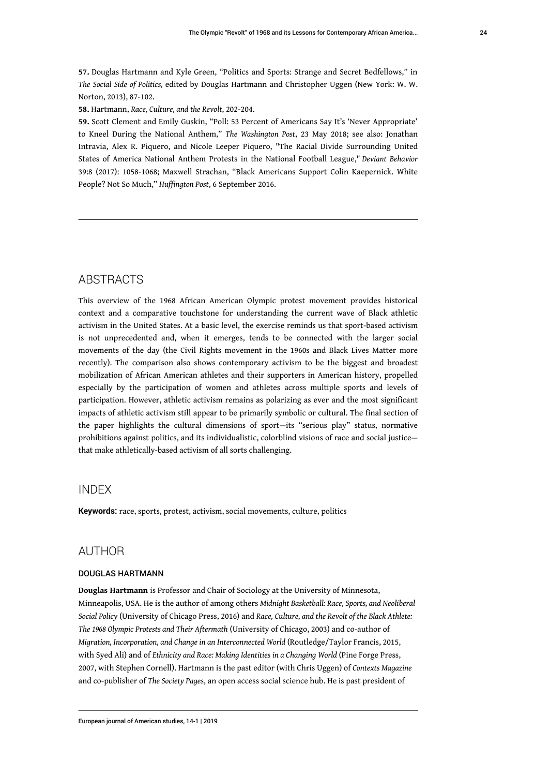<span id="page-24-0"></span>**[57.](#page-16-2)** Douglas Hartmann and Kyle Green, "Politics and Sports: Strange and Secret Bedfellows," in *The Social Side of Politics,* edited by Douglas Hartmann and Christopher Uggen (New York: W. W. Norton, 2013), 87-102.

<span id="page-24-1"></span>**[58.](#page-17-0)** Hartmann, *Race, Culture, and the Revolt*, 202-204.

<span id="page-24-2"></span>**[59.](#page-17-1)** Scott Clement and Emily Guskin, "Poll: 53 Percent of Americans Say It's 'Never Appropriate' to Kneel During the National Anthem," *The Washington Post*, 23 May 2018; see also: Jonathan Intravia, Alex R. Piquero, and Nicole Leeper Piquero, "The Racial Divide Surrounding United States of America National Anthem Protests in the National Football League," *Deviant Behavior* 39:8 (2017): 1058-1068; Maxwell Strachan, "Black Americans Support Colin Kaepernick. White People? Not So Much," *Huffington Post*, 6 September 2016.

### **ABSTRACTS**

This overview of the 1968 African American Olympic protest movement provides historical context and a comparative touchstone for understanding the current wave of Black athletic activism in the United States. At a basic level, the exercise reminds us that sport-based activism is not unprecedented and, when it emerges, tends to be connected with the larger social movements of the day (the Civil Rights movement in the 1960s and Black Lives Matter more recently). The comparison also shows contemporary activism to be the biggest and broadest mobilization of African American athletes and their supporters in American history, propelled especially by the participation of women and athletes across multiple sports and levels of participation. However, athletic activism remains as polarizing as ever and the most significant impacts of athletic activism still appear to be primarily symbolic or cultural. The final section of the paper highlights the cultural dimensions of sport—its "serious play" status, normative prohibitions against politics, and its individualistic, colorblind visions of race and social justice that make athletically-based activism of all sorts challenging.

### INDEX

**Keywords:** race, sports, protest, activism, social movements, culture, politics

### AUTHOR

#### DOUGLAS HARTMANN

**Douglas Hartmann** is Professor and Chair of Sociology at the University of Minnesota, Minneapolis, USA. He is the author of among others *Midnight Basketball: Race, Sports, and Neoliberal Social Policy* (University of Chicago Press, 2016) and *Race, Culture, and the Revolt of the Black Athlete: The 1968 Olympic Protests and Their Aftermath* (University of Chicago, 2003) and co-author of *Migration, Incorporation, and Change in an Interconnected World* (Routledge/Taylor Francis, 2015, with Syed Ali) and of *Ethnicity and Race: Making Identities in a Changing World* (Pine Forge Press, 2007, with Stephen Cornell). Hartmann is the past editor (with Chris Uggen) of *Contexts Magazine* and co-publisher of *The Society Pages*, an open access social science hub. He is past president of